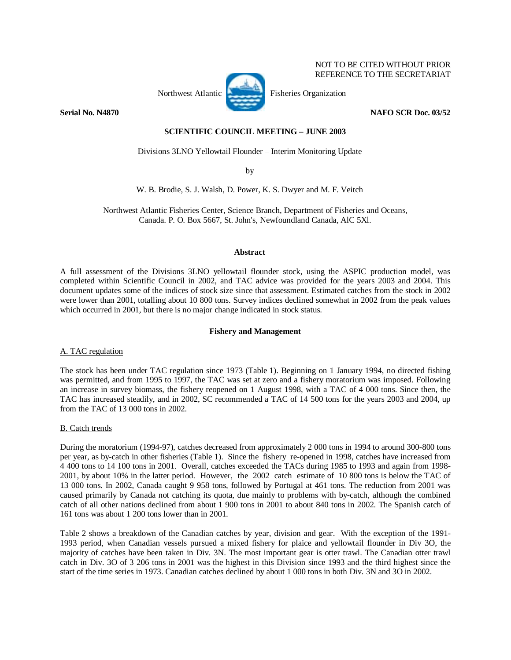

NOT TO BE CITED WITHOUT PRIOR REFERENCE TO THE SECRETARIAT

**Serial No. N4870** NAFO SCR Doc. 03/52

# **SCIENTIFIC COUNCIL MEETING – JUNE 2003**

Divisions 3LNO Yellowtail Flounder – Interim Monitoring Update

by

W. B. Brodie, S. J. Walsh, D. Power, K. S. Dwyer and M. F. Veitch

Northwest Atlantic Fisheries Center, Science Branch, Department of Fisheries and Oceans, Canada. P. O. Box 5667, St. John's, Newfoundland Canada, AlC 5Xl.

# **Abstract**

A full assessment of the Divisions 3LNO yellowtail flounder stock, using the ASPIC production model, was completed within Scientific Council in 2002, and TAC advice was provided for the years 2003 and 2004. This document updates some of the indices of stock size since that assessment. Estimated catches from the stock in 2002 were lower than 2001, totalling about 10 800 tons. Survey indices declined somewhat in 2002 from the peak values which occurred in 2001, but there is no major change indicated in stock status.

## **Fishery and Management**

# A. TAC regulation

The stock has been under TAC regulation since 1973 (Table 1). Beginning on 1 January 1994, no directed fishing was permitted, and from 1995 to 1997, the TAC was set at zero and a fishery moratorium was imposed. Following an increase in survey biomass, the fishery reopened on 1 August 1998, with a TAC of 4 000 tons. Since then, the TAC has increased steadily, and in 2002, SC recommended a TAC of 14 500 tons for the years 2003 and 2004, up from the TAC of 13 000 tons in 2002.

# B. Catch trends

During the moratorium (1994-97), catches decreased from approximately 2 000 tons in 1994 to around 300-800 tons per year, as by-catch in other fisheries (Table 1). Since the fishery re-opened in 1998, catches have increased from 4 400 tons to 14 100 tons in 2001. Overall, catches exceeded the TACs during 1985 to 1993 and again from 1998- 2001, by about 10% in the latter period. However, the 2002 catch estimate of 10 800 tons is below the TAC of 13 000 tons. In 2002, Canada caught 9 958 tons, followed by Portugal at 461 tons. The reduction from 2001 was caused primarily by Canada not catching its quota, due mainly to problems with by-catch, although the combined catch of all other nations declined from about 1 900 tons in 2001 to about 840 tons in 2002. The Spanish catch of 161 tons was about 1 200 tons lower than in 2001.

Table 2 shows a breakdown of the Canadian catches by year, division and gear. With the exception of the 1991- 1993 period, when Canadian vessels pursued a mixed fishery for plaice and yellowtail flounder in Div 3O, the majority of catches have been taken in Div. 3N. The most important gear is otter trawl. The Canadian otter trawl catch in Div. 3O of 3 206 tons in 2001 was the highest in this Division since 1993 and the third highest since the start of the time series in 1973. Canadian catches declined by about 1 000 tons in both Div. 3N and 3O in 2002.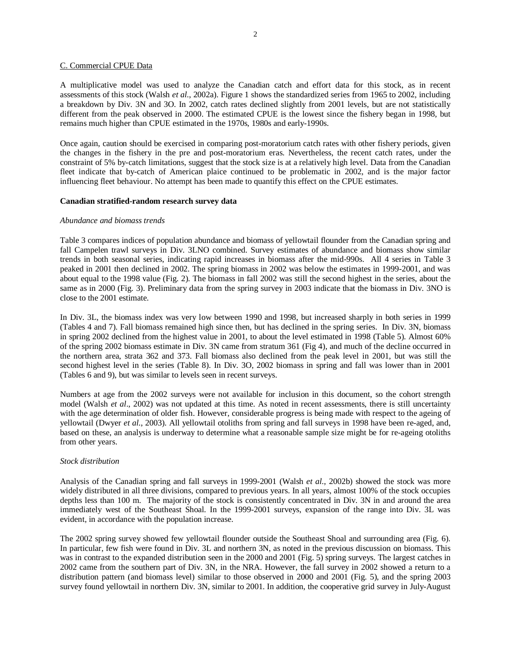#### C. Commercial CPUE Data

A multiplicative model was used to analyze the Canadian catch and effort data for this stock, as in recent assessments of this stock (Walsh *et al*., 2002a). Figure 1 shows the standardized series from 1965 to 2002, including a breakdown by Div. 3N and 3O. In 2002, catch rates declined slightly from 2001 levels, but are not statistically different from the peak observed in 2000. The estimated CPUE is the lowest since the fishery began in 1998, but remains much higher than CPUE estimated in the 1970s, 1980s and early-1990s.

Once again, caution should be exercised in comparing post-moratorium catch rates with other fishery periods, given the changes in the fishery in the pre and post-moratorium eras. Nevertheless, the recent catch rates, under the constraint of 5% by-catch limitations, suggest that the stock size is at a relatively high level. Data from the Canadian fleet indicate that by-catch of American plaice continued to be problematic in 2002, and is the major factor influencing fleet behaviour. No attempt has been made to quantify this effect on the CPUE estimates.

## **Canadian stratified-random research survey data**

### *Abundance and biomass trends*

Table 3 compares indices of population abundance and biomass of yellowtail flounder from the Canadian spring and fall Campelen trawl surveys in Div. 3LNO combined. Survey estimates of abundance and biomass show similar trends in both seasonal series, indicating rapid increases in biomass after the mid-990s. All 4 series in Table 3 peaked in 2001 then declined in 2002. The spring biomass in 2002 was below the estimates in 1999-2001, and was about equal to the 1998 value (Fig. 2). The biomass in fall 2002 was still the second highest in the series, about the same as in 2000 (Fig. 3). Preliminary data from the spring survey in 2003 indicate that the biomass in Div. 3NO is close to the 2001 estimate.

In Div. 3L, the biomass index was very low between 1990 and 1998, but increased sharply in both series in 1999 (Tables 4 and 7). Fall biomass remained high since then, but has declined in the spring series. In Div. 3N, biomass in spring 2002 declined from the highest value in 2001, to about the level estimated in 1998 (Table 5). Almost 60% of the spring 2002 biomass estimate in Div. 3N came from stratum 361 (Fig 4), and much of the decline occurred in the northern area, strata 362 and 373. Fall biomass also declined from the peak level in 2001, but was still the second highest level in the series (Table 8). In Div. 3O, 2002 biomass in spring and fall was lower than in 2001 (Tables 6 and 9), but was similar to levels seen in recent surveys.

Numbers at age from the 2002 surveys were not available for inclusion in this document, so the cohort strength model (Walsh *et al*., 2002) was not updated at this time. As noted in recent assessments, there is still uncertainty with the age determination of older fish. However, considerable progress is being made with respect to the ageing of yellowtail (Dwyer *et al*., 2003). All yellowtail otoliths from spring and fall surveys in 1998 have been re-aged, and, based on these, an analysis is underway to determine what a reasonable sample size might be for re-ageing otoliths from other years.

## *Stock distribution*

Analysis of the Canadian spring and fall surveys in 1999-2001 (Walsh *et al*., 2002b) showed the stock was more widely distributed in all three divisions, compared to previous years. In all years, almost 100% of the stock occupies depths less than 100 m. The majority of the stock is consistently concentrated in Div. 3N in and around the area immediately west of the Southeast Shoal. In the 1999-2001 surveys, expansion of the range into Div. 3L was evident, in accordance with the population increase.

The 2002 spring survey showed few yellowtail flounder outside the Southeast Shoal and surrounding area (Fig. 6). In particular, few fish were found in Div. 3L and northern 3N, as noted in the previous discussion on biomass. This was in contrast to the expanded distribution seen in the 2000 and 2001 (Fig. 5) spring surveys. The largest catches in 2002 came from the southern part of Div. 3N, in the NRA. However, the fall survey in 2002 showed a return to a distribution pattern (and biomass level) similar to those observed in 2000 and 2001 (Fig. 5), and the spring 2003 survey found yellowtail in northern Div. 3N, similar to 2001. In addition, the cooperative grid survey in July-August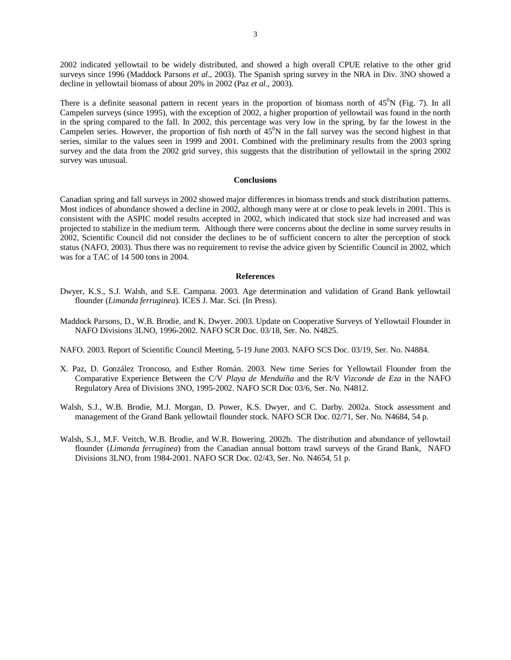2002 indicated yellowtail to be widely distributed, and showed a high overall CPUE relative to the other grid surveys since 1996 (Maddock Parsons *et al*., 2003). The Spanish spring survey in the NRA in Div. 3NO showed a decline in yellowtail biomass of about 20% in 2002 (Paz *et al*., 2003).

There is a definite seasonal pattern in recent years in the proportion of biomass north of  $45^{\circ}N$  (Fig. 7). In all Campelen surveys (since 1995), with the exception of 2002, a higher proportion of yellowtail was found in the north in the spring compared to the fall. In 2002, this percentage was very low in the spring, by far the lowest in the Campelen series. However, the proportion of fish north of  $45^0$ N in the fall survey was the second highest in that series, similar to the values seen in 1999 and 2001. Combined with the preliminary results from the 2003 spring survey and the data from the 2002 grid survey, this suggests that the distribution of yellowtail in the spring 2002 survey was unusual.

### **Conclusions**

Canadian spring and fall surveys in 2002 showed major differences in biomass trends and stock distribution patterns. Most indices of abundance showed a decline in 2002, although many were at or close to peak levels in 2001. This is consistent with the ASPIC model results accepted in 2002, which indicated that stock size had increased and was projected to stabilize in the medium term. Although there were concerns about the decline in some survey results in 2002, Scientific Council did not consider the declines to be of sufficient concern to alter the perception of stock status (NAFO, 2003). Thus there was no requirement to revise the advice given by Scientific Council in 2002, which was for a TAC of 14 500 tons in 2004.

#### **References**

- Dwyer, K.S., S.J. Walsh, and S.E. Campana. 2003. Age determination and validation of Grand Bank yellowtail flounder (*Limanda ferruginea*). ICES J. Mar. Sci. (In Press).
- Maddock Parsons, D., W.B. Brodie, and K. Dwyer. 2003. Update on Cooperative Surveys of Yellowtail Flounder in NAFO Divisions 3LNO, 1996-2002. NAFO SCR Doc. 03/18, Ser. No. N4825.
- NAFO. 2003. Report of Scientific Council Meeting, 5-19 June 2003. NAFO SCS Doc. 03/19, Ser. No. N4884.
- X. Paz, D. González Troncoso, and Esther Román. 2003. New time Series for Yellowtail Flounder from the Comparative Experience Between the C/V *Playa de Menduíña* and the R/V *Vizconde de Eza* in the NAFO Regulatory Area of Divisions 3NO, 1995-2002. NAFO SCR Doc 03/6, Ser. No. N4812.
- Walsh, S.J., W.B. Brodie, M.J. Morgan, D. Power, K.S. Dwyer, and C. Darby. 2002a. Stock assessment and management of the Grand Bank yellowtail flounder stock. NAFO SCR Doc. 02/71, Ser. No. N4684, 54 p.
- Walsh, S.J., M.F. Veitch, W.B. Brodie, and W.R. Bowering. 2002b. The distribution and abundance of yellowtail flounder (*Limanda ferruginea*) from the Canadian annual bottom trawl surveys of the Grand Bank, NAFO Divisions 3LNO, from 1984-2001. NAFO SCR Doc. 02/43, Ser. No. N4654, 51 p.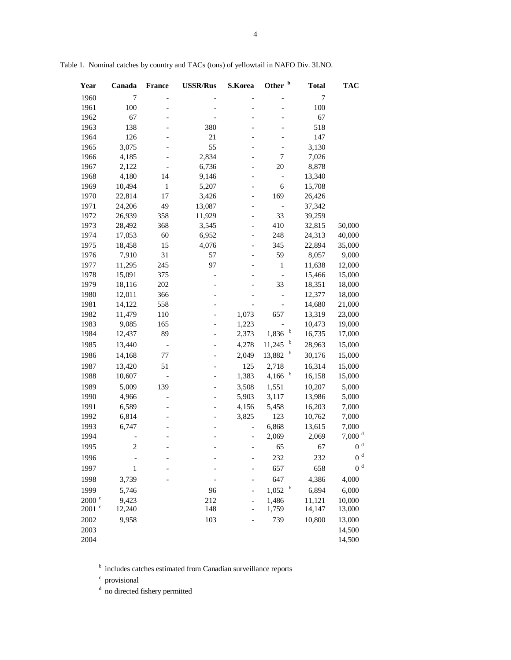| Year              | Canada           | <b>France</b>            | <b>USSR/Rus</b> | S.Korea                      | Other <sup>b</sup>   | <b>Total</b>          | <b>TAC</b>                    |
|-------------------|------------------|--------------------------|-----------------|------------------------------|----------------------|-----------------------|-------------------------------|
| 1960              | 7                |                          |                 |                              |                      | 7                     |                               |
| 1961              | 100              |                          |                 |                              |                      | 100                   |                               |
| 1962              | 67               |                          |                 |                              |                      | 67                    |                               |
| 1963              | 138              |                          | 380             |                              |                      | 518                   |                               |
| 1964              | 126              |                          | 21              |                              |                      | 147                   |                               |
| 1965              | 3,075            |                          | 55              |                              | $\overline{a}$       | 3,130                 |                               |
| 1966              | 4,185            |                          | 2,834           |                              | 7                    | 7,026                 |                               |
| 1967              | 2,122            |                          | 6,736           |                              | 20                   | 8,878                 |                               |
| 1968              | 4,180            | 14                       | 9,146           |                              | $\qquad \qquad -$    | 13,340                |                               |
| 1969              | 10,494           | 1                        | 5,207           |                              | 6                    | 15,708                |                               |
| 1970              | 22,814           | 17                       | 3,426           |                              | 169                  | 26,426                |                               |
| 1971              | 24,206           | 49                       | 13,087          | $\overline{a}$               | $\qquad \qquad -$    | 37,342                |                               |
| 1972              | 26,939           | 358                      | 11,929          | $\overline{\phantom{0}}$     | 33                   | 39,259                |                               |
| 1973              | 28,492           | 368                      | 3,545           | $\overline{\phantom{a}}$     | 410                  | 32,815                | 50,000                        |
| 1974              | 17,053           | 60                       | 6,952           | $\qquad \qquad \blacksquare$ | 248                  | 24,313                | 40,000                        |
| 1975              | 18,458           | 15                       | 4,076           | $\qquad \qquad \blacksquare$ | 345                  | 22,894                | 35,000                        |
| 1976              | 7,910            | 31                       | 57              |                              | 59                   | 8,057                 | 9,000                         |
| 1977              | 11,295           | 245                      | 97              |                              | $\mathbf{1}$         | 11,638                | 12,000                        |
| 1978              | 15,091           | 375                      |                 |                              |                      | 15,466                | 15,000                        |
| 1979              | 18,116           | 202                      |                 |                              | 33                   | 18,351                | 18,000                        |
| 1980              | 12,011           | 366                      |                 |                              |                      | 12,377                | 18,000                        |
| 1981              | 14,122<br>11,479 | 558                      |                 |                              |                      | 14,680                | 21,000                        |
| 1982<br>1983      | 9,085            | 110<br>165               |                 | 1,073<br>1,223               | 657                  | 13,319<br>10,473      | 23,000<br>19,000              |
| 1984              | 12,437           | 89                       |                 | 2,373                        | $\mathbf b$<br>1,836 | 16,735                | 17,000                        |
| 1985              | 13,440           |                          |                 | 4,278                        |                      | $\mathbf b$<br>28,963 | 15,000                        |
|                   |                  |                          |                 |                              | 11,245               | $\mathbf b$           |                               |
| 1986              | 14,168           | 77                       |                 | 2,049                        | 13,882               | 30,176                | 15,000                        |
| 1987              | 13,420           | 51                       |                 | 125                          | 2,718                | 16,314<br>b           | 15,000                        |
| 1988              | 10,607           | $\overline{\phantom{0}}$ |                 | 1,383                        | 4,166                | 16,158                | 15,000                        |
| 1989              | 5,009            | 139                      |                 | 3,508                        | 1,551                | 10,207                | 5,000                         |
| 1990              | 4,966            |                          |                 | 5,903                        | 3,117                | 13,986                | 5,000                         |
| 1991              | 6,589            |                          |                 | 4,156                        | 5,458                | 16,203                | 7,000                         |
| 1992              | 6,814            |                          |                 | 3,825                        | 123                  | 10,762                | 7,000                         |
| 1993              | 6,747            |                          |                 | $\overline{\phantom{0}}$     | 6,868                | 13,615                | 7,000<br>$7,000$ <sup>d</sup> |
| 1994              |                  |                          |                 | $\overline{a}$               | 2,069                | 2,069                 | $0\ ^{\rm d}$                 |
| 1995              | $\sqrt{2}$       |                          |                 |                              | 65                   | 67                    |                               |
| 1996              |                  |                          |                 |                              | 232                  | 232                   | $0\ ^{\rm d}$                 |
| 1997              | 1                |                          |                 |                              | 657                  | 658                   | $0\ ^{\rm d}$                 |
| 1998              | 3,739            |                          |                 |                              | 647                  | 4,386                 | 4,000                         |
| 1999              | 5,746            |                          | 96              |                              | 1,052                | $\mathbf b$<br>6,894  | 6,000                         |
| $2000$ $\degree$  | 9,423            |                          | 212             |                              | 1,486                | 11,121                | 10,000                        |
| $2001$ $^{\circ}$ | 12,240           |                          | 148             |                              | 1,759                | 14,147                | 13,000                        |
| 2002              | 9,958            |                          | 103             |                              | 739                  | 10,800                | 13,000                        |
| 2003              |                  |                          |                 |                              |                      |                       | 14,500                        |
| 2004              |                  |                          |                 |                              |                      |                       | 14,500                        |

Table 1. Nominal catches by country and TACs (tons) of yellowtail in NAFO Div. 3LNO.

**b** includes catches estimated from Canadian surveillance reports

c provisional

<sup>d</sup> no directed fishery permitted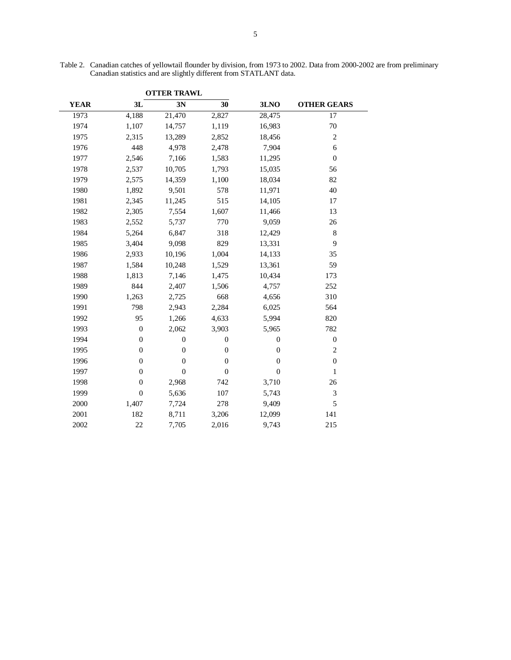|             |                  | <b>OTTER TRAWL</b> |                  |                |                    |  |
|-------------|------------------|--------------------|------------------|----------------|--------------------|--|
| <b>YEAR</b> | 3L               | 3N                 | 30               | 3LNO           | <b>OTHER GEARS</b> |  |
| 1973        | 4,188            | 21,470             | 2,827            | 28,475         | 17                 |  |
| 1974        | 1,107            | 14,757             | 1,119            | 16,983         | 70                 |  |
| 1975        | 2,315            | 13,289             | 2,852            | 18,456         | $\mathfrak{2}$     |  |
| 1976        | 448              | 4,978              | 2,478            | 7,904          | 6                  |  |
| 1977        | 2,546            | 7,166              | 1,583            | 11,295         | $\boldsymbol{0}$   |  |
| 1978        | 2,537            | 10,705             | 1,793            | 15,035         | 56                 |  |
| 1979        | 2,575            | 14,359             | 1,100            | 18,034         | 82                 |  |
| 1980        | 1,892            | 9,501              | 578              | 11,971         | 40                 |  |
| 1981        | 2,345            | 11,245             | 515              | 14,105         | 17                 |  |
| 1982        | 2,305            | 7,554              | 1,607            | 11,466         | 13                 |  |
| 1983        | 2,552            | 5,737              | 770              | 9,059          | 26                 |  |
| 1984        | 5,264            | 6,847              | 318              | 12,429         | $\,8\,$            |  |
| 1985        | 3,404            | 9,098              | 829              | 13,331         | 9                  |  |
| 1986        | 2,933            | 10,196             | 1,004            | 14,133         | 35                 |  |
| 1987        | 1,584            | 10,248             | 1,529            | 13,361         | 59                 |  |
| 1988        | 1,813            | 7,146              | 1,475            | 10,434         | 173                |  |
| 1989        | 844              | 2,407              | 1,506            | 4,757          | 252                |  |
| 1990        | 1,263            | 2,725              | 668              | 4,656          | 310                |  |
| 1991        | 798              | 2,943              | 2,284            | 6,025          | 564                |  |
| 1992        | 95               | 1,266              | 4,633            | 5,994          | 820                |  |
| 1993        | $\boldsymbol{0}$ | 2,062              | 3,903            | 5,965          | 782                |  |
| 1994        | $\boldsymbol{0}$ | $\boldsymbol{0}$   | $\boldsymbol{0}$ | $\theta$       | $\boldsymbol{0}$   |  |
| 1995        | $\boldsymbol{0}$ | $\boldsymbol{0}$   | $\boldsymbol{0}$ | $\theta$       | $\mathfrak{2}$     |  |
| 1996        | $\boldsymbol{0}$ | $\overline{0}$     | $\overline{0}$   | $\overline{0}$ | $\boldsymbol{0}$   |  |
| 1997        | $\boldsymbol{0}$ | $\boldsymbol{0}$   | $\boldsymbol{0}$ | $\theta$       | $\mathbf{1}$       |  |
| 1998        | $\boldsymbol{0}$ | 2,968              | 742              | 3,710          | 26                 |  |
| 1999        | $\boldsymbol{0}$ | 5,636              | 107              | 5,743          | 3                  |  |
| 2000        | 1,407            | 7,724              | 278              | 9,409          | 5                  |  |
| 2001        | 182              | 8,711              | 3,206            | 12,099         | 141                |  |
| 2002        | 22               | 7,705              | 2,016            | 9,743          | 215                |  |

Table 2. Canadian catches of yellowtail flounder by division, from 1973 to 2002. Data from 2000-2002 are from preliminary Canadian statistics and are slightly different from STATLANT data.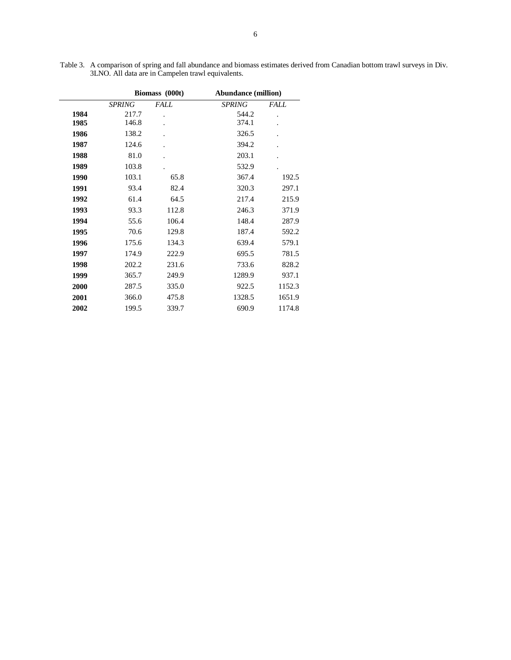|      |               | Biomass (000t) | <b>Abundance (million)</b> |             |  |  |  |
|------|---------------|----------------|----------------------------|-------------|--|--|--|
|      | <b>SPRING</b> | <i>FALL</i>    | <b>SPRING</b>              | <i>FALL</i> |  |  |  |
| 1984 | 217.7         |                | 544.2                      |             |  |  |  |
| 1985 | 146.8         |                | 374.1                      |             |  |  |  |
| 1986 | 138.2         |                | 326.5                      |             |  |  |  |
| 1987 | 124.6         |                | 394.2                      |             |  |  |  |
| 1988 | 81.0          |                | 203.1                      |             |  |  |  |
| 1989 | 103.8         |                | 532.9                      |             |  |  |  |
| 1990 | 103.1         | 65.8           | 367.4                      | 192.5       |  |  |  |
| 1991 | 93.4          | 82.4           | 320.3                      | 297.1       |  |  |  |
| 1992 | 61.4          | 64.5           | 217.4                      | 215.9       |  |  |  |
| 1993 | 93.3          | 112.8          | 246.3                      | 371.9       |  |  |  |
| 1994 | 55.6          | 106.4          | 148.4                      | 287.9       |  |  |  |
| 1995 | 70.6          | 129.8          | 187.4                      | 592.2       |  |  |  |
| 1996 | 175.6         | 134.3          | 639.4                      | 579.1       |  |  |  |
| 1997 | 174.9         | 222.9          | 695.5                      | 781.5       |  |  |  |
| 1998 | 202.2         | 231.6          | 733.6                      | 828.2       |  |  |  |
| 1999 | 365.7         | 249.9          | 1289.9                     | 937.1       |  |  |  |
| 2000 | 287.5         | 335.0          | 922.5                      | 1152.3      |  |  |  |
| 2001 | 366.0         | 475.8          | 1328.5                     | 1651.9      |  |  |  |
| 2002 | 199.5         | 339.7          | 690.9                      | 1174.8      |  |  |  |
|      |               |                |                            |             |  |  |  |

Table 3. A comparison of spring and fall abundance and biomass estimates derived from Canadian bottom trawl surveys in Div. 3LNO. All data are in Campelen trawl equivalents.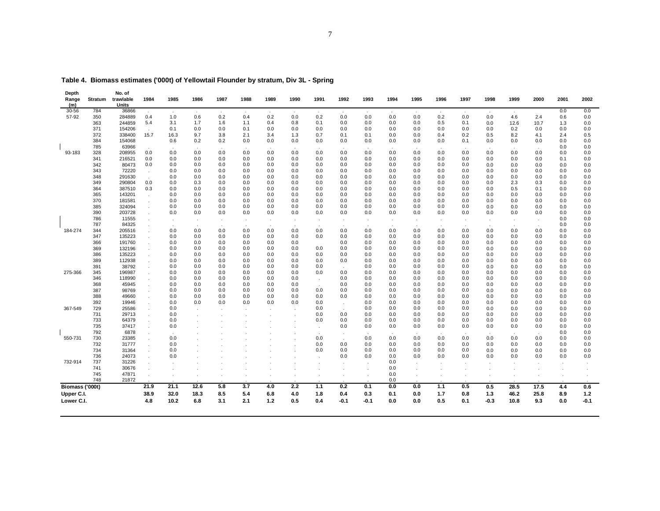| Depth<br>Range<br>(m) | Stratum    | No. of<br>trawlable<br>Units | 1984                        | 1985        | 1986       | 1987         | 1988       | 1989       | 1990       | 1991       | 1992       | 1993       | 1994          | 1995       | 1996       | 1997       | 1998       | 1999       | 2000          | 2001           | 2002       |
|-----------------------|------------|------------------------------|-----------------------------|-------------|------------|--------------|------------|------------|------------|------------|------------|------------|---------------|------------|------------|------------|------------|------------|---------------|----------------|------------|
| $30 - 56$             | 784        | 36866                        | $\sim$                      | $\sim$      |            |              | $\cdot$    |            |            |            |            |            | $\cdot$       |            | $\cdot$    | $\sim$     |            | $\cdot$    |               | 0.0            | 0.0        |
| 57-92                 | 350        | 284889                       | 0.4                         | 1.0         | 0.6        | 0.2          | 0.4        | 0.2        | 0.0        | 0.2        | 0.0        | 0.0        | 0.0           | 0.0        | 0.2        | 0.0        | 0.0        | 4.6        | 2.4           | 0.6            | 0.0        |
|                       | 363        | 244859                       | 5.4                         | 3.1         | 1.7        | 1.6          | 1.1        | 0.4        | 0.8        | 0.1        | 0.0        | 0.0        | 0.0           | 0.0        | 0.5        | 0.1        | 0.0        | 12.6       | 10.7          | 1.3            | 0.0        |
|                       | 371        | 154206                       |                             | 0.1         | 0.0        | 0.0          | 0.1        | 0.0        | 0.0        | 0.0        | 0.0        | 0.0        | 0.0           | 0.0        | 0.0        | 0.0        | 0.0        | 0.2        | 0.0           | 0.0            | 0.0        |
|                       | 372<br>384 | 338400<br>154068             | 15.7                        | 16.3<br>0.6 | 9.7<br>0.2 | 3.8<br>0.2   | 2.1<br>0.0 | 3.4<br>0.0 | 1.3<br>0.0 | 0.7<br>0.0 | 0.1<br>0.0 | 0.1<br>0.0 | 0.0<br>0.0    | 0.0<br>0.0 | 0.4<br>0.0 | 0.2<br>0.1 | 0.5<br>0.0 | 8.2<br>0.0 | 4.1<br>0.0    | 2.4<br>0.0     | 0.5<br>0.0 |
|                       | 785        | 63966                        |                             |             |            |              |            |            |            |            |            |            |               |            |            |            |            |            |               | 0.0            | 0.0        |
| 93-183                | 328        | 208955                       | 0.0                         | 0.0         | 0.0        | 0.0          | 0.0        | 0.0        | 0.0        | 0.0        | 0.0        | 0.0        | 0.0           | 0.0        | 0.0        | 0.0        | 0.0        | 0.0        | 0.0           | 0.0            | 0.0        |
|                       | 341        | 216521                       | 0.0                         | 0.0         | 0.0        | 0.0          | 0.0        | 0.0        | 0.0        | 0.0        | 0.0        | 0.0        | 0.0           | 0.0        | 0.0        | 0.0        | 0.0        | 0.0        | 0.0           | 0.1            | 0.0        |
|                       | 342        | 80473                        | 0.0                         | 0.0         | 0.0        | 0.0          | 0.0        | 0.0        | 0.0        | 0.0        | 0.0        | 0.0        | 0.0           | 0.0        | 0.0        | 0.0        | 0.0        | 0.0        | 0.0           | 0.0            | 0.0        |
|                       | 343        | 72220                        | $\sim$                      | 0.0         | 0.0        | 0.0          | 0.0        | 0.0        | 0.0        | 0.0        | 0.0        | 0.0        | 0.0           | 0.0        | 0.0        | 0.0        | 0.0        | 0.0        | 0.0           | 0.0            | 0.0        |
|                       | 348        | 291630                       | $\sim$                      | 0.0         | 0.0        | 0.0          | 0.0        | 0.0        | 0.0        | 0.0        | 0.0        | 0.0        | 0.0           | 0.0        | 0.0        | 0.0        | 0.0        | 0.0        | 0.0           | 0.0            | 0.0        |
|                       | 349        | 290804                       | 0.0                         | 0.0         | 0.3        | 0.0          | 0.0        | 0.0        | 0.0        | 0.0        | 0.0        | 0.0        | 0.0           | 0.0        | 0.0        | 0.0        | 0.0        | 2.3        | 0.3           | 0.0            | 0.0        |
|                       | 364        | 387510                       | 0.3                         | 0.0         | 0.0        | 0.0          | 0.0        | 0.0        | 0.0        | 0.0        | 0.0        | 0.0        | 0.0           | 0.0        | 0.0        | 0.0        | 0.0        | 0.5        | 0.1           | 0.0            | 0.0        |
|                       | 365        | 143201                       | $\sim$                      | 0.0         | 0.0        | 0.0          | 0.0        | 0.0        | 0.0        | 0.0        | 0.0        | 0.0        | 0.0           | 0.0        | 0.0        | 0.0        | 0.0        | 0.0        | 0.0           | 0.0            | 0.0        |
|                       | 370        | 181581                       | $\Delta$                    | 0.0         | 0.0        | 0.0          | 0.0        | 0.0        | 0.0        | 0.0        | 0.0        | 0.0        | 0.0           | 0.0        | 0.0        | 0.0        | 0.0        | 0.0        | 0.0           | 0.0            | 0.0        |
|                       | 385        | 324094                       | ÷.                          | 0.0         | 0.0        | 0.0          | 0.0        | 0.0        | 0.0        | 0.0        | 0.0        | 0.0        | 0.0           | 0.0        | 0.0        | 0.0        | 0.0        | 0.0        | 0.0           | 0.0            | 0.0        |
|                       | 390        | 203728                       | ÷.                          | 0.0         | 0.0        | 0.0          | 0.0        | 0.0        | 0.0        | 0.0        | 0.0        | 0.0        | 0.0           | 0.0        | 0.0        | 0.0        | 0.0        | 0.0        | 0.0           | 0.0            | 0.0        |
|                       | 786        | 11555                        | $\cdot$                     |             | $\cdot$    | $\cdot$      |            | $\cdot$    |            | $\cdot$    |            |            | $\cdot$       |            | $\cdot$    |            |            |            | $\cdot$       | 0.0            | 0.0        |
| 184-274               | 787<br>344 | 84325<br>205516              | ÷.                          | 0.0         | 0.0        | 0.0          | 0.0        | 0.0        | 0.0        | 0.0        | 0.0        | 0.0        | $\sim$<br>0.0 | 0.0        | 0.0        | 0.0        | 0.0        | 0.0        | 0.0           | $0.0\,$<br>0.0 | 0.0<br>0.0 |
|                       | 347        | 135223                       |                             | 0.0         | 0.0        | 0.0          | 0.0        | 0.0        | 0.0        | 0.0        | 0.0        | 0.0        | 0.0           | 0.0        | 0.0        | 0.0        | 0.0        | 0.0        | 0.0           | 0.0            | 0.0        |
|                       | 366        | 191760                       | ä,<br>$\epsilon$            | 0.0         | 0.0        | 0.0          | 0.0        | 0.0        | 0.0        |            | 0.0        | 0.0        | 0.0           | 0.0        | 0.0        | 0.0        | 0.0        | 0.0        | 0.0           | 0.0            | 0.0        |
|                       | 369        | 132196                       | $\epsilon$                  | 0.0         | 0.0        | 0.0          | 0.0        | 0.0        | 0.0        | 0.0        | 0.0        | 0.0        | 0.0           | 0.0        | 0.0        | 0.0        | 0.0        | 0.0        | 0.0           | 0.0            | 0.0        |
|                       | 386        | 135223                       | ÷.                          | 0.0         | 0.0        | 0.0          | 0.0        | 0.0        | 0.0        | 0.0        | 0.0        | 0.0        | 0.0           | 0.0        | 0.0        | 0.0        | 0.0        | 0.0        | 0.0           | 0.0            | 0.0        |
|                       | 389        | 112938                       | ÷.                          | 0.0         | 0.0        | 0.0          | 0.0        | 0.0        | 0.0        | 0.0        | 0.0        | 0.0        | 0.0           | 0.0        | 0.0        | 0.0        | 0.0        | 0.0        | 0.0           | 0.0            | 0.0        |
|                       | 391        | 38792                        | $\Delta$                    | 0.0         | 0.0        | 0.0          | 0.0        | 0.0        | 0.0        | 0.0        |            | 0.0        | 0.0           | 0.0        | 0.0        | 0.0        | 0.0        | 0.0        | 0.0           | 0.0            | 0.0        |
| 275-366               | 345        | 196987                       | ÷.                          | 0.0         | 0.0        | 0.0          | 0.0        | 0.0        | 0.0        | 0.0        | 0.0        | 0.0        | 0.0           | 0.0        | 0.0        | 0.0        | 0.0        | 0.0        | 0.0           | 0.0            | 0.0        |
|                       | 346        | 118990                       | $\cdot$                     | 0.0         | 0.0        | 0.0          | 0.0        | 0.0        | 0.0        | $\cdot$    | 0.0        | 0.0        | 0.0           | 0.0        | 0.0        | 0.0        | 0.0        | 0.0        | 0.0           | 0.0            | 0.0        |
|                       | 368        | 45945                        | $\ddot{\phantom{a}}$        | 0.0         | 0.0        | 0.0          | 0.0        | 0.0        | 0.0        | $\sim$     | 0.0        | 0.0        | 0.0           | 0.0        | 0.0        | 0.0        | 0.0        | 0.0        | 0.0           | 0.0            | 0.0        |
|                       | 387        | 98769                        | ä,                          | 0.0         | 0.0        | 0.0          | 0.0        | 0.0        | 0.0        | 0.0        | 0.0        | 0.0        | 0.0           | 0.0        | 0.0        | 0.0        | 0.0        | 0.0        | 0.0           | 0.0            | 0.0        |
|                       | 388        | 49660                        | $\Delta$                    | 0.0         | 0.0        | 0.0          | 0.0        | 0.0        | 0.0        | 0.0        | 0.0        | 0.0        | 0.0           | 0.0        | 0.0        | 0.0        | 0.0        | 0.0        | 0.0           | 0.0            | 0.0        |
|                       | 392        | 19946                        |                             | 0.0         | 0.0        | 0.0          | 0.0        | 0.0        | 0.0        | 0.0        | $\cdot$    | 0.0        | 0.0           | 0.0        | 0.0        | 0.0        | 0.0        | 0.0        | 0.0           | 0.0            | 0.0        |
| 367-549               | 729        | 25586                        | $\mathbf{r}$                | 0.0         |            | $\mathbf{r}$ |            |            |            | 0.0        | $\cdot$    | 0.0        | 0.0           | 0.0        | 0.0        | 0.0        | 0.0        | 0.0        | 0.0           | 0.0            | 0.0        |
|                       | 731        | 29713                        | ÷.                          | 0.0         |            |              |            |            |            | 0.0        | 0.0        | 0.0        | 0.0           | 0.0        | 0.0        | 0.0        | 0.0        | 0.0        | 0.0           | 0.0            | 0.0        |
|                       | 733<br>735 | 64379<br>37417               | $\mathcal{L}^{\mathcal{L}}$ | 0.0<br>0.0  |            |              |            |            |            | 0.0        | 0.0<br>0.0 | 0.0<br>0.0 | 0.0<br>0.0    | 0.0<br>0.0 | 0.0<br>0.0 | 0.0<br>0.0 | 0.0<br>0.0 | 0.0<br>0.0 | 0.0<br>0.0    | 0.0<br>0.0     | 0.0<br>0.0 |
|                       | 792        | 6878                         | ä,                          |             |            |              |            |            |            |            |            |            |               |            |            |            |            |            |               | 0.0            | 0.0        |
| 550-731               | 730        | 23385                        | $\cdot$<br>ä,               | 0.0         |            |              |            |            |            | 0.0        |            | 0.0        | 0.0           | 0.0        | 0.0        | 0.0        | 0.0        | 0.0        | $\sim$<br>0.0 | 0.0            | 0.0        |
|                       | 732        | 31777                        | ÷.                          | 0.0         |            |              |            |            |            | 0.0        | 0.0        | 0.0        | 0.0           | 0.0        | 0.0        | 0.0        | 0.0        | 0.0        | 0.0           | 0.0            | 0.0        |
|                       | 734        | 31364                        | ÷.                          | 0.0         |            |              |            |            |            | 0.0        | 0.0        | 0.0        | 0.0           | 0.0        | 0.0        | 0.0        | 0.0        | 0.0        | 0.0           | 0.0            | 0.0        |
|                       | 736        | 24073                        | $\mathbf{r}$                | 0.0         |            |              |            |            |            |            | 0.0        | 0.0        | 0.0           | 0.0        | 0.0        | 0.0        | 0.0        | 0.0        | 0.0           | 0.0            | 0.0        |
| 732-914               | 737        | 31226                        | $\Delta$                    |             |            |              |            |            |            |            |            |            | 0.0           |            |            |            |            |            |               |                |            |
|                       | 741        | 30676                        | $\sim$                      |             |            |              |            |            |            |            |            |            | 0.0           | .          |            |            |            |            |               | $\cdot$        |            |
|                       | 745        | 47871                        | k.                          |             |            |              |            |            |            |            |            |            | 0.0           |            |            |            |            |            |               |                |            |
|                       | 748        | 21872                        |                             |             |            |              |            |            |            |            |            |            | 0.0           |            |            |            |            |            |               |                |            |
| Biomass ('000t)       |            |                              | 21.9                        | 21.1        | 12.6       | 5.8          | 3.7        | 4.0        | 2.2        | $1.1$      | 0.2        | 0.1        | 0.0           | 0.0        | 1.1        | 0.5        | 0.5        | 28.5       | 17.5          | 4.4            | 0.6        |
| Upper C.I.            |            |                              | 38.9                        | 32.0        | 18.3       | 8.5          | 5.4        | 6.8        | 4.0        | 1.8        | 0.4        | 0.3        | 0.1           | 0.0        | 1.7        | 0.8        | $1.3$      | 46.2       | 25.8          | 8.9            | $1.2$      |
| Lower C.I.            |            |                              | 4.8                         | 10.2        | 6.8        | 3.1          | 2.1        | 1.2        | 0.5        | 0.4        | $-0.1$     | $-0.1$     | 0.0           | 0.0        | 0.5        | 0.1        | $-0.3$     | 10.8       | 9.3           | 0.0            | $-0.1$     |

**Table 4. Biomass estimates ('000t) of Yellowtail Flounder by stratum, Div 3L - Spring**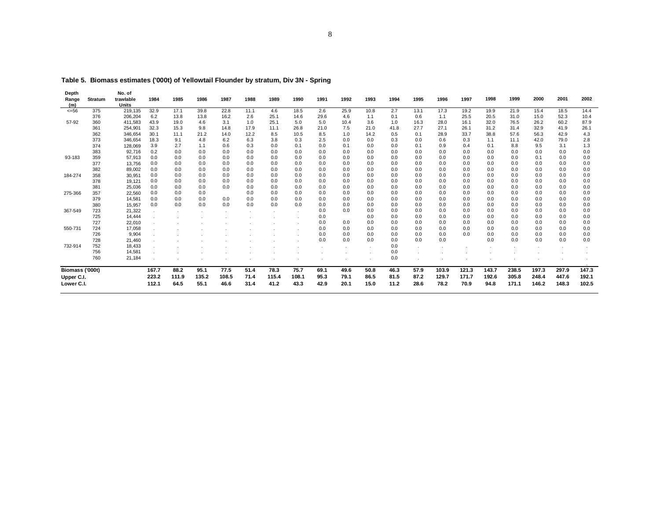| Depth           |                | No. of       |       |       |       |       |      |       |       |      |      |      |      |      |       |       |       |       |       |       |       |
|-----------------|----------------|--------------|-------|-------|-------|-------|------|-------|-------|------|------|------|------|------|-------|-------|-------|-------|-------|-------|-------|
| Range           | <b>Stratum</b> | trawlable    | 1984  | 1985  | 1986  | 1987  | 1988 | 1989  | 1990  | 1991 | 1992 | 1993 | 1994 | 1995 | 1996  | 1997  | 1998  | 1999  | 2000  | 2001  | 2002  |
| (m)             |                | <b>Units</b> |       |       |       |       |      |       |       |      |      |      |      |      |       |       |       |       |       |       |       |
| $= 56$          | 375            | 219,135      | 32.9  | 17.1  | 39.8  | 22.8  | 11.1 | 4.6   | 18.5  | 2.6  | 25.9 | 10.8 | 2.7  | 13.1 | 17.3  | 19.2  | 19.9  | 21.9  | 15.4  | 18.5  | 14.4  |
|                 | 376            | 206,204      | 6.2   | 13.8  | 13.8  | 16.2  | 2.6  | 25.1  | 14.6  | 29.6 | 4.6  | 1.1  | 0.1  | 0.6  | 1.1   | 25.5  | 20.5  | 31.0  | 15.0  | 52.3  | 10.4  |
| 57-92           | 360            | 411,583      | 43.9  | 19.0  | 4.6   | 3.1   | 1.0  | 25.1  | 5.0   | 5.0  | 10.4 | 3.6  | 1.0  | 16.3 | 28.0  | 16.1  | 32.0  | 76.5  | 26.2  | 60.2  | 87.9  |
|                 | 361            | 254,901      | 32.3  | 15.3  | 9.8   | 14.8  | 17.9 | 11.1  | 26.8  | 21.0 | 7.5  | 21.0 | 41.8 | 27.7 | 27.1  | 26.1  | 31.2  | 31.4  | 32.9  | 41.9  | 26.1  |
|                 | 362            | 346,654      | 30.1  | 11.1  | 21.2  | 14.0  | 12.2 | 8.5   | 10.5  | 8.5  | 1.0  | 14.2 | 0.5  | 0.1  | 28.9  | 33.7  | 38.8  | 57.6  | 56.3  | 42.9  | 4.3   |
|                 | 373            | 346,654      | 18.3  | 9.1   | 4.8   | 6.2   | 6.3  | 3.8   | 0.3   | 2.5  | 0.0  | 0.0  | 0.3  | 0.0  | 0.6   | 0.3   | 1.1   | 11.1  | 42.0  | 79.0  | 2.8   |
|                 | 374            | 128,069      | 3.9   | 2.7   | 1.1   | 0.6   | 0.3  | 0.0   | 0.1   | 0.0  | 0.1  | 0.0  | 0.0  | 0.1  | 0.9   | 0.4   | 0.1   | 8.8   | 9.5   | 3.1   | 1.3   |
|                 | 383            | 92,716       | 0.2   | 0.0   | 0.0   | 0.0   | 0.0  | 0.0   | 0.0   | 0.0  | 0.0  | 0.0  | 0.0  | 0.0  | 0.0   | 0.0   | 0.0   | 0.0   | 0.0   | 0.0   | 0.0   |
| 93-183          | 359            | 57,913       | 0.0   | 0.0   | 0.0   | 0.0   | 0.0  | 0.0   | 0.0   | 0.0  | 0.0  | 0.0  | 0.0  | 0.0  | 0.0   | 0.0   | 0.0   | 0.0   | 0.1   | 0.0   | 0.0   |
|                 | 377            | 13,756       | 0.0   | 0.0   | 0.0   | 0.0   | 0.0  | 0.0   | 0.0   | 0.0  | 0.0  | 0.0  | 0.0  | 0.0  | 0.0   | 0.0   | 0.0   | 0.0   | 0.0   | 0.0   | 0.0   |
|                 | 382            | 89,002       | 0.0   | 0.0   | 0.0   | 0.0   | 0.0  | 0.0   | 0.0   | 0.0  | 0.0  | 0.0  | 0.0  | 0.0  | 0.0   | 0.0   | 0.0   | 0.0   | 0.0   | 0.0   | 0.0   |
| 184-274         | 358            | 30,951       | 0.0   | 0.0   | 0.0   | 0.0   | 0.0  | 0.0   | 0.0   | 0.0  | 0.0  | 0.0  | 0.0  | 0.0  | 0.0   | 0.0   | 0.0   | 0.0   | 0.0   | 0.0   | 0.0   |
|                 | 378            | 19,121       | 0.0   | 0.0   | 0.0   | 0.0   | 0.0  | 0.0   | 0.0   | 0.0  | 0.0  | 0.0  | 0.0  | 0.0  | 0.0   | 0.0   | 0.0   | 0.0   | 0.0   | 0.0   | 0.0   |
|                 | 381            | 25,036       | 0.0   | 0.0   | 0.0   | 0.0   | 0.0  | 0.0   | 0.0   | 0.0  | 0.0  | 0.0  | 0.0  | 0.0  | 0.0   | 0.0   | 0.0   | 0.0   | 0.0   | 0.0   | 0.0   |
| 275-366         | 357            | 22,560       | 0.0   | 0.0   | 0.0   |       | 0.0  | 0.0   | 0.0   | 0.0  | 0.0  | 0.0  | 0.0  | 0.0  | 0.0   | 0.0   | 0.0   | 0.0   | 0.0   | 0.0   | 0.0   |
|                 | 379            | 14,581       | 0.0   | 0.0   | 0.0   | 0.0   | 0.0  | 0.0   | 0.0   | 0.0  | 0.0  | 0.0  | 0.0  | 0.0  | 0.0   | 0.0   | 0.0   | 0.0   | 0.0   | 0.0   | 0.0   |
|                 | 380            | 15,957       | 0.0   | 0.0   | 0.0   | 0.0   | 0.0  | 0.0   | 0.0   | 0.0  | 0.0  | 0.0  | 0.0  | 0.0  | 0.0   | 0.0   | 0.0   | 0.0   | 0.0   | 0.0   | 0.0   |
| 367-549         | 723            | 21,322       |       |       |       |       |      |       |       | 0.0  | 0.0  | 0.0  | 0.0  | 0.0  | 0.0   | 0.0   | 0.0   | 0.0   | 0.0   | 0.0   | 0.0   |
|                 | 725            | 14,444       |       |       |       |       |      |       |       | 0.0  |      | 0.0  | 0.0  | 0.0  | 0.0   | 0.0   | 0.0   | 0.0   | 0.0   | 0.0   | 0.0   |
|                 | 727            | 22,010       |       |       |       |       |      |       |       | 0.0  | 0.0  | 0.0  | 0.0  | 0.0  | 0.0   | 0.0   | 0.0   | 0.0   | 0.0   | 0.0   | 0.0   |
| 550-731         | 724            | 17,058       |       |       |       |       |      |       |       | 0.0  | 0.0  | 0.0  | 0.0  | 0.0  | 0.0   | 0.0   | 0.0   | 0.0   | 0.0   | 0.0   | 0.0   |
|                 | 726            | 9,904        |       |       |       |       |      |       |       | 0.0  | 0.0  | 0.0  | 0.0  | 0.0  | 0.0   | 0.0   | 0.0   | 0.0   | 0.0   | 0.0   | 0.0   |
|                 | 728            | 21,460       |       |       |       |       |      |       |       | 0.0  | 0.0  | 0.0  | 0.0  | 0.0  | 0.0   |       | 0.0   | 0.0   | 0.0   | 0.0   | 0.0   |
| 732-914         | 752            | 18,433       |       |       |       |       |      |       |       |      |      |      | 0.0  |      |       |       |       |       |       |       |       |
|                 | 756            | 14,581       |       |       |       |       |      |       |       |      |      |      | 0.0  |      |       |       |       |       |       |       |       |
|                 | 760            | 21,184       |       |       |       |       |      |       |       |      |      |      | 0.0  |      |       |       |       |       |       |       |       |
| Biomass ('000t) |                |              | 167.7 | 88.2  | 95.1  | 77.5  | 51.4 | 78.3  | 75.7  | 69.1 | 49.6 | 50.8 | 46.3 | 57.9 | 103.9 | 121.3 | 143.7 | 238.5 | 197.3 | 297.9 | 147.3 |
| Upper C.I.      |                |              | 223.2 | 111.9 | 135.2 | 108.5 | 71.4 | 115.4 | 108.1 | 95.3 | 79.1 | 86.5 | 81.5 | 87.2 | 129.7 | 171.7 | 192.6 | 305.8 | 248.4 | 447.6 | 192.1 |
| Lower C.I.      |                |              | 112.1 | 64.5  | 55.1  | 46.6  | 31.4 | 41.2  | 43.3  | 42.9 | 20.1 | 15.0 | 11.2 | 28.6 | 78.2  | 70.9  | 94.8  | 171.1 | 146.2 | 148.3 | 102.5 |
|                 |                |              |       |       |       |       |      |       |       |      |      |      |      |      |       |       |       |       |       |       |       |

**Table 5. Biomass estimates ('000t) of Yellowtail Flounder by stratum, Div 3N - Spring**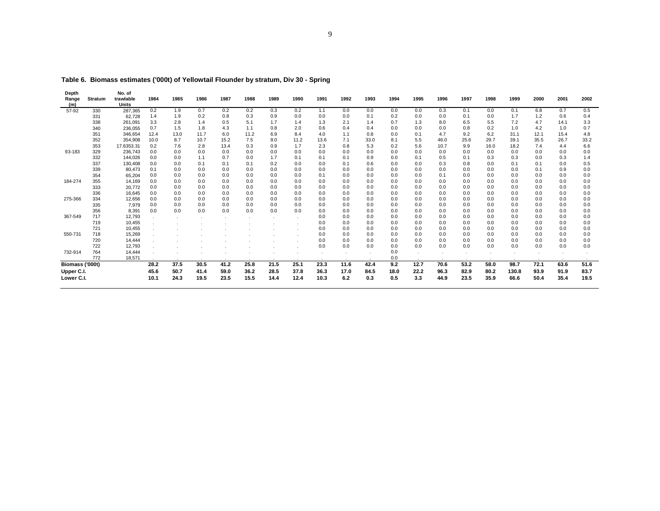| Depth           |         | No. of       |      |      |      |      |      |      |      |         |      |      |      |      |      |              |      |       |      |      |      |
|-----------------|---------|--------------|------|------|------|------|------|------|------|---------|------|------|------|------|------|--------------|------|-------|------|------|------|
| Range           | Stratum | trawlable    | 1984 | 1985 | 1986 | 1987 | 1988 | 1989 | 1990 | 1991    | 1992 | 1993 | 1994 | 1995 | 1996 | 1997         | 1998 | 1999  | 2000 | 2001 | 2002 |
| (m)             |         | <b>Units</b> |      |      |      |      |      |      |      |         |      |      |      |      |      |              |      |       |      |      |      |
| 57-92           | 330     | 287,365      | 0.2  | 1.9  | 0.7  | 0.2  | 0.2  | 0.3  | 0.2  | 1.1     | 0.0  | 0.0  | 0.0  | 0.0  | 0.3  | 0.1          | 0.0  | 0.1   | 6.8  | 0.7  | 0.5  |
|                 | 331     | 62,728       | 1.4  | 1.9  | 0.2  | 0.8  | 0.3  | 0.9  | 0.0  | 0.0     | 0.0  | 0.1  | 0.2  | 0.0  | 0.0  | 0.1          | 0.0  | 1.7   | 1.2  | 0.6  | 0.4  |
|                 | 338     | 261,091      | 3.3  | 2.8  | 1.4  | 0.5  | 5.1  | 1.7  | 1.4  | 1.3     | 2.1  | 1.4  | 0.7  | 1.3  | 8.0  | 6.5          | 5.5  | 7.2   | 4.7  | 14.1 | 3.3  |
|                 | 340     | 236,055      | 0.7  | 1.5  | 1.8  | 4.3  | 1.1  | 0.8  | 2.0  | 0.6     | 0.4  | 0.4  | 0.0  | 0.0  | 0.0  | 0.8          | 0.2  | 1.0   | 4.2  | 1.0  | 0.7  |
|                 | 351     | 346,654      | 12.4 | 13.0 | 11.7 | 6.0  | 11.2 | 6.9  | 8.4  | 4.0     | 1.1  | 0.8  | 0.0  | 0.1  | 4.7  | 9.2          | 6.2  | 31.1  | 12.1 | 15.4 | 4.8  |
|                 | 352     | 354,908      | 10.0 | 8.7  | 10.7 | 15.2 | 7.5  | 8.0  | 11.2 | 13.6    | 7.1  | 33.0 | 8.1  | 5.5  | 46.0 | 25.6         | 29.7 | 39.1  | 35.5 | 26.7 | 33.2 |
|                 | 353     | 17.6353.31   | 0.2  | 7.6  | 2.8  | 13.4 | 0.3  | 0.9  | 1.7  | 2.3     | 0.8  | 5.3  | 0.2  | 5.6  | 10.7 | 9.9          | 16.0 | 18.2  | 7.4  | 4.4  | 6.6  |
| 93-183          | 329     | 236,743      | 0.0  | 0.0  | 0.0  | 0.0  | 0.0  | 0.0  | 0.0  | 0.0     | 0.0  | 0.0  | 0.0  | 0.0  | 0.0  | 0.0          | 0.0  | 0.0   | 0.0  | 0.0  | 0.0  |
|                 | 332     | 144,026      | 0.0  | 0.0  | 1.1  | 0.7  | 0.0  | 1.7  | 0.1  | 0.1     | 0.1  | 0.9  | 0.0  | 0.1  | 0.5  | 0.1          | 0.3  | 0.3   | 0.0  | 0.3  | 1.4  |
|                 | 337     | 130,408      | 0.0  | 0.0  | 0.1  | 0.1  | 0.1  | 0.2  | 0.0  | 0.0     | 0.1  | 0.6  | 0.0  | 0.0  | 0.3  | 0.8          | 0.0  | 0.1   | 0.1  | 0.0  | 0.5  |
|                 | 339     | 80,473       | 0.1  | 0.0  | 0.0  | 0.0  | 0.0  | 0.0  | 0.0  | 0.0     | 0.0  | 0.0  | 0.0  | 0.0  | 0.0  | 0.0          | 0.0  | 0.0   | 0.1  | 0.9  | 0.0  |
|                 | 354     | 65,204       | 0.0  | 0.0  | 0.0  | 0.0  | 0.0  | 0.0  | 0.0  | 0.1     | 0.0  | 0.0  | 0.0  | 0.0  | 0.1  | 0.0          | 0.0  | 0.0   | 0.0  | 0.0  | 0.0  |
| 184-274         | 355     | 14,169       | 0.0  | 0.0  | 0.0  | 0.0  | 0.0  | 0.0  | 0.0  | 0.0     | 0.0  | 0.0  | 0.0  | 0.0  | 0.0  | 0.0          | 0.0  | 0.0   | 0.0  | 0.0  | 0.0  |
|                 | 333     | 20,772       | 0.0  | 0.0  | 0.0  | 0.0  | 0.0  | 0.0  | 0.0  | 0.0     | 0.0  | 0.0  | 0.0  | 0.0  | 0.0  | 0.0          | 0.0  | 0.0   | 0.0  | 0.0  | 0.0  |
|                 | 336     | 16,645       | 0.0  | 0.0  | 0.0  | 0.0  | 0.0  | 0.0  | 0.0  | 0.0     | 0.0  | 0.0  | 0.0  | 0.0  | 0.0  | 0.0          | 0.0  | 0.0   | 0.0  | 0.0  | 0.0  |
| 275-366         | 334     | 12,656       | 0.0  | 0.0  | 0.0  | 0.0  | 0.0  | 0.0  | 0.0  | 0.0     | 0.0  | 0.0  | 0.0  | 0.0  | 0.0  | 0.0          | 0.0  | 0.0   | 0.0  | 0.0  | 0.0  |
|                 | 335     | 7,979        | 0.0  | 0.0  | 0.0  | 0.0  | 0.0  | 0.0  | 0.0  | 0.0     | 0.0  | 0.0  | 0.0  | 0.0  | 0.0  | 0.0          | 0.0  | 0.0   | 0.0  | 0.0  | 0.0  |
|                 | 356     | 8,391        | 0.0  | 0.0  | 0.0  | 0.0  | 0.0  | 0.0  | 0.0  | 0.0     | 0.0  | 0.0  | 0.0  | 0.0  | 0.0  | 0.0          | 0.0  | 0.0   | 0.0  | 0.0  | 0.0  |
| 367-549         | 717     | 12,793       |      |      |      |      |      |      |      | 0.0     | 0.0  | 0.0  | 0.0  | 0.0  | 0.0  | 0.0          | 0.0  | 0.0   | 0.0  | 0.0  | 0.0  |
|                 | 719     | 10,455       |      |      |      |      |      |      |      | 0.0     | 0.0  | 0.0  | 0.0  | 0.0  | 0.0  | 0.0          | 0.0  | 0.0   | 0.0  | 0.0  | 0.0  |
|                 | 721     | 10,455       |      |      |      |      |      |      |      | 0.0     | 0.0  | 0.0  | 0.0  | 0.0  | 0.0  | 0.0          | 0.0  | 0.0   | 0.0  | 0.0  | 0.0  |
| 550-731         | 718     | 15,269       |      |      |      |      |      |      |      | 0.0     | 0.0  | 0.0  | 0.0  | 0.0  | 0.0  | 0.0          | 0.0  | 0.0   | 0.0  | 0.0  | 0.0  |
|                 | 720     | 14,444       |      |      |      |      |      |      |      | 0.0     | 0.0  | 0.0  | 0.0  | 0.0  | 0.0  | 0.0          | 0.0  | 0.0   | 0.0  | 0.0  | 0.0  |
|                 | 722     | 12,793       |      |      |      |      |      |      |      | 0.0     | 0.0  | 0.0  | 0.0  | 0.0  | 0.0  | 0.0          | 0.0  | 0.0   | 0.0  | 0.0  | 0.0  |
| 732-914         | 764     | 14,444       |      |      |      |      |      |      |      | $\cdot$ |      |      | 0.0  |      |      | $\mathbf{r}$ |      |       |      |      |      |
|                 | 772     | 18,571       |      |      |      |      |      |      |      |         |      |      | 0.0  |      |      |              |      |       |      |      |      |
| Biomass ('000t) |         |              | 28.2 | 37.5 | 30.5 | 41.2 | 25.8 | 21.5 | 25.1 | 23.3    | 11.6 | 42.4 | 9.2  | 12.7 | 70.6 | 53.2         | 58.0 | 98.7  | 72.1 | 63.6 | 51.6 |
| Upper C.I.      |         |              | 45.6 | 50.7 | 41.4 | 59.0 | 36.2 | 28.5 | 37.8 | 36.3    | 17.0 | 84.5 | 18.0 | 22.2 | 96.3 | 82.9         | 80.2 | 130.8 | 93.9 | 91.9 | 83.7 |
| Lower C.I.      |         |              | 10.1 | 24.3 | 19.5 | 23.5 | 15.5 | 14.4 | 12.4 | 10.3    | 6.2  | 0.3  | 0.5  | 3.3  | 44.9 | 23.5         | 35.9 | 66.6  | 50.4 | 35.4 | 19.5 |
|                 |         |              |      |      |      |      |      |      |      |         |      |      |      |      |      |              |      |       |      |      |      |

**Table 6. Biomass estimates ('000t) of Yellowtail Flounder by stratum, Div 30 - Spring**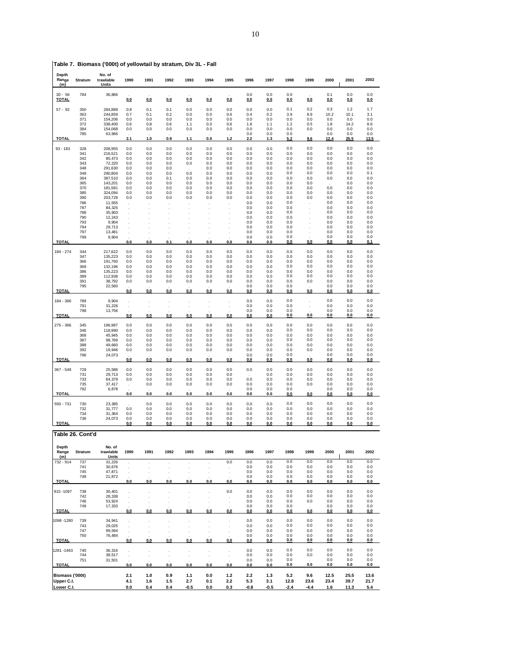| Depth<br>Range<br>(m) | Stratum          | No. of<br>trawlable<br><b>Units</b> | 1990                 | 1991                                         | 1992               | 1993                            | 1994                                         | 1995         | 1996       | 1997       | 1998       | 1999       | 2000        | 2001        | 2002       |
|-----------------------|------------------|-------------------------------------|----------------------|----------------------------------------------|--------------------|---------------------------------|----------------------------------------------|--------------|------------|------------|------------|------------|-------------|-------------|------------|
| $30 - 56$<br>TOTAL    | 784              | 36,866                              | 0.0                  | 0.0                                          | 0.0                | 0.0                             | 0.0                                          | 0.0          | 0.0<br>0.0 | 0.0<br>0.0 | 0.0<br>0.0 | 0.0        | 0.1<br>0.0  | 0.0<br>0.0  | 0.0<br>0.0 |
| $57 - 92$             | 350              | 284,889                             | 0.8                  | 0.1                                          | 0.1                | 0.0                             | 0.0                                          | 0.0          | 0.0        | 0.0        | 0.1        | 0.2        | 0.3         | 1.2         | 1.7        |
|                       | 363<br>371       | 244,859<br>154,206                  | 0.7<br>0.0           | 0.1<br>0.0                                   | 0.2<br>0.0         | 0.0<br>0.0                      | 0.0<br>0.0                                   | 0.6<br>0.0   | 0.4<br>0.0 | 0.2<br>0.0 | 3.9<br>0.0 | 8.9<br>0.0 | 10.2<br>0.0 | 10.1<br>0.0 | 3.1<br>0.0 |
|                       | 372              | 338,400                             | 0.6                  | 0.8                                          | 0.6                | 1.1                             | 0.0                                          | 0.6          | 1.8        | 1.1        | 1.2        | 0.5        | 1.8         | 14.2        | 8.6        |
|                       | 384<br>785       | 154,068<br>63,966                   | 0.0                  | 0.0                                          | 0.0                | 0.0                             | 0.0                                          | 0.0          | 0.0<br>0.0 | 0.0<br>0.0 | 0.0<br>0.0 | 0.0        | 0.0<br>0.0  | 0.0<br>0.0  | 0.0<br>0.0 |
| <b>TOTAL</b>          |                  |                                     | 2.1                  | 1.0                                          | 0.9                | 1.1                             | 0.0                                          | 1.2          | 2.2        | 1.3        | 5.2        | 9.6        | 12.4        | 25.5        | 13.5       |
| $93 - 183$            | 328              | 208,955                             | 0.0                  | 0.0                                          | 0.0                | 0.0                             | 0.0                                          | 0.0          | 0.0        | 0.0        | 0.0        | 0.0        | 0.0         | 0.0         | 0.0        |
|                       | 341<br>342       | 216,521<br>80,473                   | 0.0<br>0.0           | 0.0<br>0.0                                   | 0.0<br>0.0         | 0.0<br>0.0                      | 0.0<br>0.0                                   | 0.0<br>0.0   | 0.0<br>0.0 | 0.0<br>0.0 | 0.0<br>0.0 | 0.0<br>0.0 | 0.0<br>0.0  | 0.0<br>0.0  | 0.0<br>0.0 |
|                       | 343              | 72,220                              | 0.0                  | 0.0                                          | 0.0                | 0.0                             | 0.0                                          | 0.0          | 0.0        | 0.0        | 0.0        | 0.0        | 0.0         | 0.0         | 0.0        |
|                       | 348<br>349       | 291,630<br>290,804                  | 0.0<br>0.0           | 0.0<br>0.0                                   | 0.0<br>0.0         | 0.0                             | 0.0<br>0.0                                   | 0.0<br>0.0   | 0.0<br>0.0 | 0.0<br>0.0 | 0.0<br>0.0 | 0.0<br>0.0 | 0.0<br>0.0  | 0.0<br>0.0  | 0.0<br>0.1 |
|                       | 364<br>365       | 387,510<br>143,201                  | 0.0<br>0.0           | 0.0<br>0.0                                   | 0.1<br>0.0         | 0.0<br>0.0                      | 0.0<br>0.0                                   | 0.0<br>0.0   | 0.0<br>0.0 | 0.0<br>0.0 | 0.0<br>0.0 | 0.0<br>0.0 | 0.0         | 0.0<br>0.0  | 0.0<br>0.0 |
|                       | 370              | 181,581                             | 0.0                  | 0.0                                          | 0.0                | 0.0                             | 0.0                                          | 0.0          | 0.0        | 0.0        | 0.0        | 0.0        | 0.0         | 0.0         | 0.0        |
|                       | 385<br>390       | 324,094<br>203,728                  | 0.0<br>0.0           | 0.0<br>0.0                                   | 0.0<br>0.0         | 0.0<br>0.0                      | 0.0<br>0.0                                   | 0.0<br>0.0   | 0.0<br>0.0 | 0.0<br>0.0 | 0.0<br>0.0 | 0.0<br>0.0 | 0.0<br>0.0  | 0.0<br>0.0  | 0.0<br>0.0 |
|                       | 786              | 11,555                              |                      |                                              |                    |                                 |                                              |              | 0.0        | 0.0        | 0.0        |            | 0.0         | 0.0         | 0.0        |
|                       | 787<br>788       | 84,325<br>35,903                    |                      |                                              |                    |                                 |                                              |              | 0.0<br>0.0 | 0.0<br>0.0 | 0.0<br>0.0 |            | 0.0<br>0.0  | 0.0<br>0.0  | 0.0<br>0.0 |
|                       | 790<br>793       | 12,243<br>9,904                     |                      |                                              |                    |                                 |                                              |              | 0.0<br>0.0 | 0.0<br>0.0 | 0.0<br>0.0 |            | 0.0         | 0.0         | 0.0        |
|                       | 794              | 29,713                              |                      |                                              |                    |                                 |                                              |              | 0.0        | 0.0        | 0.0        |            | 0.0<br>0.0  | 0.0<br>0.0  | 0.0<br>0.0 |
|                       | 797<br>799       | 13,481<br>9,904                     |                      |                                              |                    |                                 |                                              |              | 0.0<br>0.0 | 0.0<br>0.0 | 0.0<br>0.0 |            | 0.0<br>0.0  | 0.0<br>0.0  | 0.0<br>0.0 |
| <b>TOTAL</b>          |                  |                                     | 0.0                  | 0.0                                          | 0.1                | 0.0                             | 0.0                                          | 0.0          | 0.0        | 0.0        | 0.0        | 0.0        | 0.0         | 0.0         | 0.1        |
| 184 - 274             | 344              | 217,622                             | 0.0                  | 0.0                                          | 0.0                | 0.0                             | 0.0                                          | 0.0          | 0.0        | 0.0        | 0.0        | 0.0        | 0.0         | 0.0         | 0.0        |
|                       | 347<br>366       | 135,223<br>191,760                  | 0.0                  | 0.0                                          | 0.0                | 0.0                             | 0.0                                          | 0.0          | 0.0        | 0.0        | 0.0        | 0.0        | 0.0         | 0.0         | 0.0        |
|                       | 369              | 132,196                             | 0.0<br>0.0           | 0.0<br>0.0                                   | 0.0<br>0.0         | 0.0<br>0.0                      | 0.0<br>0.0                                   | 0.0<br>0.0   | 0.0<br>0.0 | 0.0<br>0.0 | 0.0<br>0.0 | 0.0<br>0.0 | 0.0<br>0.0  | 0.0<br>0.0  | 0.0<br>0.0 |
|                       | 386<br>389       | 135,223<br>112,938                  | 0.0<br>0.0           | 0.0<br>0.0                                   | 0.0<br>0.0         | 0.0<br>0.0                      | 0.0<br>0.0                                   | 0.0<br>0.0   | 0.0<br>0.0 | 0.0<br>0.0 | 0.0<br>0.0 | 0.0<br>0.0 | 0.0<br>0.0  | 0.0<br>0.0  | 0.0<br>0.0 |
|                       | 391              | 38,792                              | 0.0                  | 0.0                                          | 0.0                | 0.0                             | 0.0                                          | 0.0          | 0.0        | 0.0        | 0.0        | 0.0        | 0.0         | 0.0         | 0.0        |
| <b>TOTAL</b>          | 795              | 22,560                              | 0.0                  | 0.0                                          | 0.0                | 0.0                             | 0.0                                          | 0.0          | 0.0<br>0.0 | 0.0<br>0.0 | 0.0<br>0.0 | 0.0        | 0.0<br>0.0  | 0.0<br>0.0  | 0.0<br>0.0 |
| 184 - 366             | 789              | 9,904                               |                      |                                              |                    |                                 |                                              |              | 0.0        | 0.0        | 0.0        |            | 0.0         | 0.0         | 0.0        |
|                       | 791              | 31,226                              | $\cdot$              |                                              |                    | $\cdot$<br>$\ddot{\phantom{0}}$ |                                              | $\cdot$<br>÷ | 0.0        | 0.0        | 0.0        |            | 0.0         | 0.0         | 0.0        |
| <b>TOTAL</b>          | 798              | 13,756                              | 0.0                  | 0.0                                          | 0.0                | 0.0                             | 0.0                                          | 0.0          | 0.0<br>0.0 | 0.0<br>0.0 | 0.0<br>0.0 | 0.0        | 0.0<br>0.0  | 0.0<br>0.0  | 0.0<br>0.0 |
| $275 - 366$           | 345              | 196,987                             | 0.0                  | 0.0                                          | 0.0                | 0.0                             | 0.0                                          | 0.0          | 0.0        | 0.0        | 0.0        | 0.0        | 0.0         | 0.0         | 0.0        |
|                       | 346              | 118,990                             | 0.0                  | 0.0                                          | 0.0                | 0.0                             | 0.0                                          | 0.0          | 0.0        | 0.0        | 0.0        | 0.0        | 0.0         | 0.0         | 0.0        |
|                       | 368<br>387       | 45,945<br>98,769                    | 0.0<br>0.0           | 0.0<br>0.0                                   | 0.0<br>0.0         | 0.0<br>0.0                      | 0.0<br>0.0                                   | 0.0<br>0.0   | 0.0<br>0.0 | 0.0<br>0.0 | 0.0<br>0.0 | 0.0<br>0.0 | 0.0<br>0.0  | 0.0<br>0.0  | 0.0<br>0.0 |
|                       | 388              | 49,660                              | 0.0                  | 0.0                                          | 0.0                | 0.0                             | 0.0                                          | 0.0          | 0.0        | 0.0        | 0.0        | 0.0        | 0.0         | 0.0         | 0.0        |
|                       | 392<br>796       | 19,946<br>24,073                    | 0.0                  | 0.0                                          | 0.0                | 0.0                             | 0.0                                          | 0.0          | 0.0<br>0.0 | 0.0<br>0.0 | 0.0<br>0.0 | 0.0        | 0.0<br>0.0  | 0.0<br>0.0  | 0.0<br>0.0 |
| <b>TOTAL</b>          |                  |                                     | 0.0                  | 0.0                                          | 0.0                | 0.0                             | 0.0                                          | 0.0          | 0.0        | 0.0        | 0.0        | 0.0        | 0.0         | 0.0         | 0.0        |
| 367 - 549             | 729              | 25,586                              | 0.0                  | 0.0                                          | 0.0                | 0.0                             | 0.0                                          | 0.0          | 0.0        | 0.0        | 0.0        | 0.0        | 0.0         | 0.0         | 0.0        |
|                       | 731<br>733       | 29,713<br>64,379                    | 0.0<br>0.0           | 0.0<br>0.0                                   | 0.0<br>0.0         | 0.0<br>0.0                      | 0.0<br>0.0                                   | 0.0<br>0.0   | 0.0        | 0.0<br>0.0 | 0.0<br>0.0 | 0.0<br>0.0 | 0.0<br>0.0  | 0.0<br>0.0  | 0.0<br>0.0 |
|                       | 735              | 37,417                              |                      | 0.0                                          | 0.0                | 0.0                             | 0.0                                          | 0.0          | 0.0        | 0.0        | 0.0        | 0.0        | 0.0         | 0.0         | 0.0        |
| <b>TOTAL</b>          | 792              | 6,878                               | 0.0                  | 0.0                                          | 0.0                | 0.0                             | 0.0                                          | 0.0          | 0.0<br>0.0 | 0.0<br>0.0 | 0.0<br>0.0 | 0.0        | 0.0<br>0.0  | 0.0<br>0.0  | 0.0<br>0.0 |
| 550 - 731             | 730              | 23,385                              | $\sim$               | 0.0                                          | 0.0                | 0.0                             | 0.0                                          | 0.0          | 0.0        | 0.0        | 0.0        | 0.0        | 0.0         | 0.0         | 0.0        |
|                       | 732              | 31,777                              | 0.0                  | 0.0                                          | 0.0                | 0.0                             | 0.0                                          | 0.0          | 0.0        | 0.0        | 0.0        | 0.0        | 0.0         | 0.0         | 0.0        |
|                       | 734<br>736       | 31,364<br>24,073                    | 0.0<br>0.0           | 0.0<br>0.0                                   | 0.0<br>0.0         | 0.0<br>0.0                      | 0.0<br>0.0                                   | 0.0<br>0.0   | 0.0<br>0.0 | 0.0<br>0.0 | 0.0<br>0.0 | 0.0<br>0.0 | 0.0<br>0.0  | 0.0<br>0.0  | 0.0<br>0.0 |
| <b>TOTAL</b>          |                  |                                     | 0.0                  | 0.0                                          | 0.0                | 0.0                             | 0.0                                          | 0.0          | 0.0        | 0.0        | 0.0        | 0.0        | 0.0         | 0.0         | 0.0        |
|                       | Table 26. Cont'd |                                     |                      |                                              |                    |                                 |                                              |              |            |            |            |            |             |             |            |
| Depth                 |                  | No. of                              |                      |                                              |                    |                                 |                                              |              |            |            |            |            |             |             |            |
| Range<br>(m)          | Stratum          | trawlable<br>Units                  | 1990                 | 1991                                         | 1992               | 1993                            | 1994                                         | 1995         | 1996       | 1997       | 1998       | 1999       | 2000        | 2001        | 2002       |
| 732 - 914             | 737<br>741       | 31.226<br>30,676                    | $\cdot$<br>$\cdot$   | $\cdot$<br>$\ddot{\phantom{0}}$              | $\cdot$<br>$\cdot$ | $\cdot$<br>$\cdot$              | $\cdot$<br>l,                                | 0.0          | 0.0<br>0.0 | 0.0<br>0.0 | 0.0<br>0.0 | 0.0<br>0.0 | 0.0<br>0.0  | 0.0<br>0.0  | 0.0<br>0.0 |
|                       | 745              | 47,871                              | $\cdot$              | $\ddot{\phantom{0}}$                         | $\cdot$            | $\ddot{\phantom{a}}$            | l.                                           | ÷            | 0.0        | 0.0        | 0.0        | 0.0        | 0.0         | 0.0         | 0.0        |
| <b>TOTAL</b>          | 748              | 21,872                              | 0.0                  | 0.0                                          | 0.0                | 0.0                             | 0.0                                          | 0.0          | 0.0<br>0.0 | 0.0<br>0.0 | 0.0<br>0.0 | 0.0<br>0.0 | 0.0<br>0.0  | 0.0<br>0.0  | 0.0<br>0.0 |
| 915-1097              | 738              | 30,401                              |                      |                                              |                    |                                 |                                              | 0.0          | 0.0        | 0.0        | 0.0        | 0.0        | 0.0         | 0.0         | 0.0        |
|                       | 742              | 28,338                              | $\cdot$<br>$\cdot$   | $\ddot{\phantom{0}}$<br>$\ddot{\phantom{0}}$ | $\cdot$<br>$\cdot$ | $\cdot$<br>$\cdot$              | $\ddot{\phantom{0}}$<br>$\ddot{\phantom{0}}$ | ٠            | 0.0        | 0.0        | 0.0        | 0.0        | 0.0         | 0.0         | 0.0        |
|                       | 746<br>749       | 53,924<br>17,333                    | $\cdot$              | $\ddot{\phantom{0}}$                         | $\cdot$            | $\cdot$                         |                                              | ÷            | 0.0<br>0.0 | 0.0<br>0.0 | 0.0<br>0.0 | 0.0        | 0.0<br>0.0  | 0.0<br>0.0  | 0.0<br>0.0 |
| <b>TOTAL</b>          |                  |                                     | 0.0                  | 0.0                                          | 0.0                | 0.0                             | 0.0                                          | 0.0          | 0.0        | 0.0        | 0.0        | 0.0        | 0.0         | 0.0         | 0.0        |
| 1098-1280             | 739              | 34,941                              | $\cdot$              |                                              | $\cdot$            | $\ddot{\phantom{0}}$            | $\ddot{\phantom{0}}$                         | ÷,           | 0.0        | 0.0        | 0.0        | 0.0        | 0.0         | 0.0         | 0.0        |
|                       | 743              | 29,025                              | $\ddot{\phantom{0}}$ | $\cdot$                                      | $\cdot$            | $\ddot{\phantom{0}}$            |                                              | ÷,           | 0.0        | 0.0        | 0.0        | 0.0        | 0.0         | 0.0         | 0.0        |
|                       | 747<br>750       | 99,594<br>76,484                    | $\cdot$              | $\cdot$                                      | $\cdot$            | ÷,                              | $\cdot$                                      | ÷            | 0.0<br>0.0 | 0.0<br>0.0 | 0.0<br>0.0 | 0.0<br>0.0 | 0.0<br>0.0  | 0.0<br>0.0  | 0.0<br>0.0 |
| <b>TOTAL</b>          |                  |                                     | 0.0                  | 0.0                                          | 0.0                | 0.0                             | 0.0                                          | 0.0          | 0.0        | 0.0        | 0.0        | 0.0        | 0.0         | 0.0         | 0.0        |
| 1281-1463             | 740              | 36,316                              | $\cdot$              | $\ddot{\phantom{0}}$                         | $\cdot$            | $\cdot$                         | l,                                           | $\cdot$      | 0.0        | 0.0        | 0.0        | 0.0        | 0.0         | 0.0         | 0.0        |
|                       | 744<br>751       | 38,517<br>31,501                    | ×,                   | $\ddot{\phantom{0}}$                         | $\cdot$            | $\cdot$                         | $\cdot$                                      | $\cdot$      | 0.0<br>0.0 | 0.0<br>0.0 | 0.0<br>0.0 | 0.0        | 0.0<br>0.0  | 0.0<br>0.0  | 0.0<br>0.0 |
| <b>TOTAL</b>          |                  |                                     | 0.0                  | 0.0                                          | 0.0                | 0.0                             | 0.0                                          | 0.0          | 0.0        | 0.0        | 0.0        | 0.0        | 0.0         | 0.0         | 0.0        |
| Biomass ('000t)       |                  |                                     | 2.1                  | 1.0                                          | 0.9                | 1.1                             | 0.0                                          | $1.2$        | 2.2        | 1.3        | 5.2        | 9.6        | 12.5        | 25.5        | 13.6       |
| Upper C.I.            |                  |                                     | 4.1                  | 1.6                                          | 1.5                | 2.7                             | 0.1                                          | 2.2          | 5.3        | 3.1        | 12.8       | 23.6       | 23.4        | 39.7        | 21.7       |
| Lower C.I.            |                  |                                     | 0.0                  | 0.4                                          | 0.4                | -0.5                            | 0.0                                          | 0.3          | $-0.8$     | $-0.5$     | $-2.4$     | $-4.4$     | 1.6         | 11.3        | 5.4        |

**Table 7. Biomass ('000t) of yellowtail by stratum, Div 3L - Fall**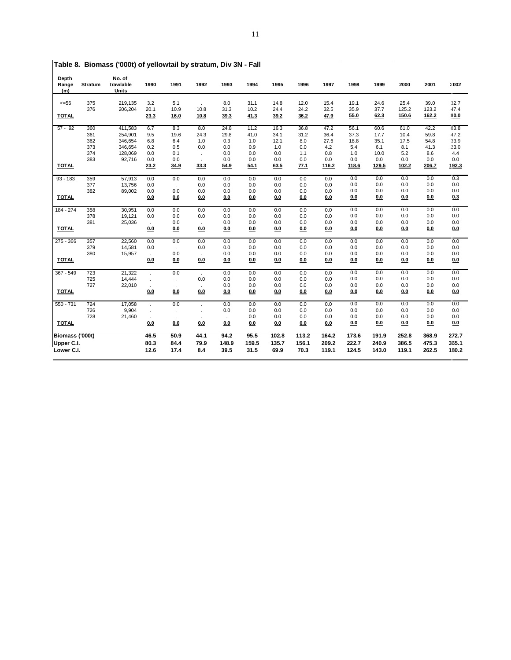| Depth<br>Range<br>(m) | <b>Stratum</b> | No. of<br>trawlable<br><b>Units</b> | 1990        | 1991        | 1992 | 1993        | 1994         | 1995         | 1996         | 1997         | 1998         | 1999         | 2000          | 2001          | 2002         |
|-----------------------|----------------|-------------------------------------|-------------|-------------|------|-------------|--------------|--------------|--------------|--------------|--------------|--------------|---------------|---------------|--------------|
| $<=56$                | 375<br>376     | 219,135<br>206,204                  | 3.2<br>20.1 | 5.1<br>10.9 | 10.8 | 8.0<br>31.3 | 31.1<br>10.2 | 14.8<br>24.4 | 12.0<br>24.2 | 15.4<br>32.5 | 19.1<br>35.9 | 24.6<br>37.7 | 25.4<br>125.2 | 39.0<br>123.2 | 32.7<br>47.4 |
| <b>TOTAL</b>          |                |                                     | 23.3        | <b>16.0</b> | 10.8 | 39.3        | 41.3         | 39.2         | 36.2         | 47.9         | 55.0         | 62.3         | 150.6         | 162.2         | 80.0         |
| $57 - 92$             | 360            | 411,583                             | 6.7         | 8.3         | 8.0  | 24.8        | 11.2         | 16.3         | 36.8         | 47.2         | 56.1         | 60.6         | 61.0          | 42.2          | 83.8         |
|                       | 361            | 254,901                             | 9.5         | 19.6        | 24.3 | 29.8        | 41.0         | 34.1         | 31.2         | 36.4         | 37.3         | 17.7         | 10.4          | 59.8          | 47.2         |
|                       | 362            | 346,654                             | 6.8         | 6.4         | 1.0  | 0.3         | 1.0          | 12.1         | 8.0          | 27.6         | 18.8<br>5.4  | 35.1<br>6.1  | 17.5<br>8.1   | 54.8<br>41.3  | 33.9<br>23.0 |
|                       | 373<br>374     | 346,654<br>128,069                  | 0.2<br>0.0  | 0.5<br>0.1  | 0.0  | 0.0<br>0.0  | 0.9<br>0.0   | 1.0<br>0.0   | 0.0<br>1.1   | 4.2<br>0.8   | 1.0          | 10.0         | 5.2           | 8.6           | 4.4          |
|                       | 383            | 92,716                              | 0.0         | 0.0         |      | 0.0         | 0.0          | 0.0          | 0.0          | 0.0          | 0.0          | 0.0          | 0.0           | 0.0           | 0.0          |
| <b>TOTAL</b>          |                |                                     | 23.2        | 34.9        | 33.3 | 54.9        | 54.1         | 63.5         | 77.1         | 116.2        | 118.6        | 129.5        | 102.2         | 206.7         | 192.3        |
| $93 - 183$            | 359            | 57,913                              | 0.0         | 0.0         | 0.0  | 0.0         | 0.0          | 0.0          | 0.0          | 0.0          | 0.0          | 0.0          | 0.0           | 0.0           | 0.3          |
|                       | 377            | 13,756                              | 0.0         |             | 0.0  | 0.0         | 0.0          | 0.0          | 0.0          | 0.0          | 0.0          | 0.0          | 0.0           | 0.0           | 0.0          |
|                       | 382            | 89,002                              | 0.0         | 0.0         | 0.0  | 0.0         | 0.0          | 0.0          | 0.0          | 0.0          | 0.0          | 0.0          | 0.0           | 0.0           | 0.0          |
| <b>TOTAL</b>          |                |                                     | 0.0         | 0.0         | 0.0  | 0.0         | 0.0          | 0.0          | 0.0          | 0.0          | 0.0          | 0.0          | 0.0           | 0.0           | 0.3          |
| 184 - 274             | 358            | 30,951                              | 0.0         | 0.0         | 0.0  | 0.0         | 0.0          | 0.0          | 0.0          | 0.0          | 0.0          | 0.0          | 0.0           | 0.0           | 0.0          |
|                       | 378            | 19,121                              | 0.0         | 0.0         | 0.0  | 0.0         | 0.0          | 0.0          | 0.0          | 0.0          | 0.0          | 0.0          | 0.0           | 0.0           | 0.0          |
|                       | 381            | 25,036                              | ÷.          | 0.0         |      | 0.0         | 0.0          | 0.0          | 0.0          | 0.0          | 0.0          | 0.0          | 0.0           | 0.0           | 0.0          |
| <b>TOTAL</b>          |                |                                     | 0.0         | 0.0         | 0.0  | 0.0         | 0.0          | 0.0          | 0.0          | 0.0          | 0.0          | 0.0          | 0.0           | 0.0           | 0.0          |
| $275 - 366$           | 357            | 22,560                              | 0.0         | 0.0         | 0.0  | 0.0         | 0.0          | 0.0          | 0.0          | 0.0          | 0.0          | 0.0          | 0.0           | 0.0           | 0.0          |
|                       | 379            | 14,581                              | 0.0         | $\cdot$     | 0.0  | 0.0         | 0.0          | 0.0          | 0.0          | 0.0          | 0.0          | 0.0          | 0.0           | 0.0           | 0.0          |
|                       | 380            | 15,957                              | ÷,          | 0.0         |      | 0.0         | 0.0          | 0.0          | 0.0          | 0.0          | 0.0          | 0.0          | 0.0           | 0.0           | 0.0          |
| <b>TOTAL</b>          |                |                                     | 0.0         | 0.0         | 0.0  | 0.0         | 0.0          | 0.0          | 0.0          | 0.0          | 0.0          | 0.0          | 0.0           | 0.0           | 0.0          |
| 367 - 549             | 723            | 21,322                              |             | 0.0         |      | 0.0         | 0.0          | 0.0          | 0.0          | 0.0          | 0.0          | 0.0          | 0.0           | 0.0           | 0.0          |
|                       | 725            | 14,444                              |             |             | 0.0  | 0.0         | 0.0          | 0.0          | 0.0          | 0.0          | 0.0          | 0.0          | 0.0           | 0.0           | 0.0          |
|                       | 727            | 22,010                              |             |             |      | 0.0         | 0.0          | 0.0          | 0.0          | 0.0          | 0.0          | 0.0          | 0.0           | 0.0           | 0.0          |
| <b>TOTAL</b>          |                |                                     | 0.0         | 0.0         | 0.0  | 0.0         | 0.0          | 0.0          | 0.0          | 0.0          | 0.0          | 0.0          | 0.0           | 0.0           | 0.0          |
| $550 - 731$           | 724            | 17,058                              |             | 0.0         |      | 0.0         | 0.0          | 0.0          | 0.0          | 0.0          | 0.0          | 0.0          | 0.0           | 0.0           | 0.0          |
|                       | 726            | 9,904                               | $\cdot$     |             |      | 0.0         | 0.0          | 0.0          | 0.0          | 0.0          | 0.0          | 0.0          | 0.0           | 0.0           | 0.0          |
|                       | 728            | 21,460                              | $\cdot$     | $\cdot$     |      | $\cdot$     | 0.0          | 0.0          | 0.0          | 0.0          | 0.0          | 0.0          | 0.0           | 0.0           | 0.0          |
| <b>TOTAL</b>          |                |                                     | 0.0         | 0.0         | 0.0  | 0.0         | 0.0          | 0.0          | 0.0          | 0.0          | 0.0          | 0.0          | 0.0           | 0.0           | 0.0          |
| Biomass ('000t)       |                |                                     | 46.5        | 50.9        | 44.1 | 94.2        | 95.5         | 102.8        | 113.2        | 164.2        | 173.6        | 191.9        | 252.8         | 368.9         | 272.7        |
| Upper C.I.            |                |                                     | 80.3        | 84.4        | 79.9 | 148.9       | 159.5        | 135.7        | 156.1        | 209.2        | 222.7        | 240.9        | 386.5         | 475.3         | 365.1        |
| Lower C.I.            |                |                                     | 12.6        | 17.4        | 8.4  | 39.5        | 31.5         | 69.9         | 70.3         | 119.1        | 124.5        | 143.0        | 119.1         | 262.5         | 180.2        |

**Table 8. Biomass ('000t) of yellowtail by stratum, Div 3N - Fall**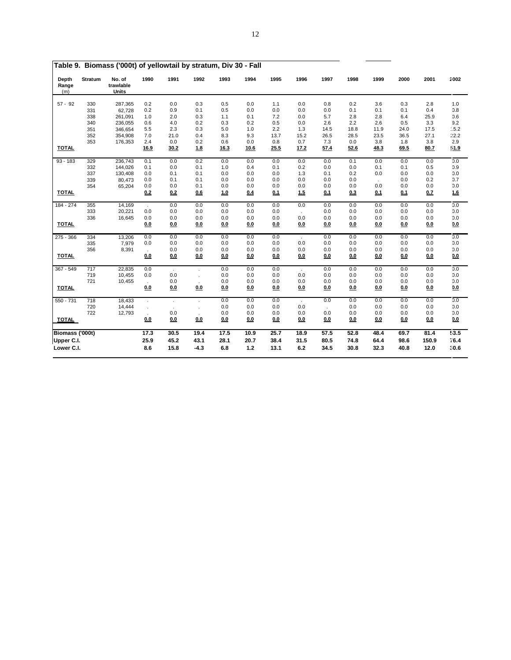|                       |         | Table 9.  Biomass ('000t) of yellowtail by stratum, Div 30 - Fall |         |      |        |      |       |      |      |      |      |        |      |       |                  |
|-----------------------|---------|-------------------------------------------------------------------|---------|------|--------|------|-------|------|------|------|------|--------|------|-------|------------------|
| Depth<br>Range<br>(m) | Stratum | No. of<br>trawlable<br>Units                                      | 1990    | 1991 | 1992   | 1993 | 1994  | 1995 | 1996 | 1997 | 1998 | 1999   | 2000 | 2001  | 2002             |
| $57 - 92$             | 330     | 287,365                                                           | 0.2     | 0.0  | 0.3    | 0.5  | 0.0   | 1.1  | 0.0  | 0.8  | 0.2  | 3.6    | 0.3  | 2.8   | 1.0              |
|                       | 331     | 62,728                                                            | 0.2     | 0.9  | 0.1    | 0.5  | 0.0   | 0.0  | 0.0  | 0.0  | 0.1  | 0.1    | 0.1  | 0.4   | 0.8              |
|                       | 338     | 261,091                                                           | 1.0     | 2.0  | 0.3    | 1.1  | 0.1   | 7.2  | 0.0  | 5.7  | 2.8  | 2.8    | 6.4  | 25.9  | 0.6              |
|                       | 340     | 236,055                                                           | 0.6     | 4.0  | 0.2    | 0.3  | 0.2   | 0.5  | 0.0  | 2.6  | 2.2  | 2.6    | 0.5  | 3.3   | 9.2              |
|                       | 351     | 346,654                                                           | 5.5     | 2.3  | 0.3    | 5.0  | 1.0   | 2.2  | 1.3  | 14.5 | 18.8 | 11.9   | 24.0 | 17.5  | .5.2             |
|                       | 352     | 354,908                                                           | 7.0     | 21.0 | 0.4    | 8.3  | 9.3   | 13.7 | 15.2 | 26.5 | 28.5 | 23.5   | 36.5 | 27.1  | 22.2             |
|                       | 353     | 176,353                                                           | 2.4     | 0.0  | 0.2    | 0.6  | 0.0   | 0.8  | 0.7  | 7.3  | 0.0  | 3.8    | 1.8  | 3.8   | 2.9              |
| <b>TOTAL</b>          |         |                                                                   | 16.9    | 30.2 | 1.8    | 16.3 | 10.6  | 25.5 | 17.2 | 57.4 | 52.6 | 48.3   | 69.5 | 80.7  | 51.9             |
| $93 - 183$            | 329     | 236,743                                                           | 0.1     | 0.0  | 0.2    | 0.0  | 0.0   | 0.0  | 0.0  | 0.0  | 0.1  | 0.0    | 0.0  | 0.0   | 0.0              |
|                       | 332     | 144,026                                                           | 0.1     | 0.0  | 0.1    | 1.0  | 0.4   | 0.1  | 0.2  | 0.0  | 0.0  | 0.1    | 0.1  | 0.5   | 0.9              |
|                       | 337     | 130,408                                                           | 0.0     | 0.1  | 0.1    | 0.0  | 0.0   | 0.0  | 1.3  | 0.1  | 0.2  | 0.0    | 0.0  | 0.0   | 0.0              |
|                       | 339     | 80,473                                                            | 0.0     | 0.1  | 0.1    | 0.0  | 0.0   | 0.0  | 0.0  | 0.0  | 0.0  | $\sim$ | 0.0  | 0.2   | 0.7              |
|                       | 354     | 65,204                                                            | 0.0     | 0.0  | 0.1    | 0.0  | 0.0   | 0.0  | 0.0  | 0.0  | 0.0  | 0.0    | 0.0  | 0.0   | 0.0              |
| <b>TOTAL</b>          |         |                                                                   | 0.2     | 0.2  | 0.6    | 1.0  | 0.4   | 0.1  | 1.5  | 0.1  | 0.3  | 0.1    | 0.1  | 0.7   | 1.6              |
| 184 - 274             | 355     | 14,169                                                            | $\cdot$ | 0.0  | 0.0    | 0.0  | 0.0   | 0.0  | 0.0  | 0.0  | 0.0  | 0.0    | 0.0  | 0.0   | 0.0              |
|                       | 333     | 20,221                                                            | 0.0     | 0.0  | 0.0    | 0.0  | 0.0   | 0.0  | ÷.   | 0.0  | 0.0  | 0.0    | 0.0  | 0.0   | 0.0              |
|                       | 336     | 16,645                                                            | 0.0     | 0.0  | 0.0    | 0.0  | 0.0   | 0.0  | 0.0  | 0.0  | 0.0  | 0.0    | 0.0  | 0.0   | 0.0              |
| <b>TOTAL</b>          |         |                                                                   | 0.0     | 0.0  | 0.0    | 0.0  | 0.0   | 0.0  | 0.0  | 0.0  | 0.0  | 0.0    | 0.0  | 0.0   | 0.0              |
| 275 - 366             | 334     | 13,206                                                            | 0.0     | 0.0  | 0.0    | 0.0  | 0.0   | 0.0  |      | 0.0  | 0.0  | 0.0    | 0.0  | 0.0   | 0.0              |
|                       | 335     | 7,979                                                             | 0.0     | 0.0  | 0.0    | 0.0  | 0.0   | 0.0  | 0.0  | 0.0  | 0.0  | 0.0    | 0.0  | 0.0   | 0.0              |
|                       | 356     | 8,391                                                             | $\cdot$ | 0.0  | 0.0    | 0.0  | 0.0   | 0.0  | 0.0  | 0.0  | 0.0  | 0.0    | 0.0  | 0.0   | 0.0              |
| <b>TOTAL</b>          |         |                                                                   | 0.0     | 0.0  | 0.0    | 0.0  | 0.0   | 0.0  | 0.0  | 0.0  | 0.0  | 0.0    | 0.0  | 0.0   | 0.0              |
| 367 - 549             | 717     | 22,835                                                            | 0.0     |      |        | 0.0  | 0.0   | 0.0  |      | 0.0  | 0.0  | 0.0    | 0.0  | 0.0   | 0.0              |
|                       | 719     | 10,455                                                            | 0.0     | 0.0  |        | 0.0  | 0.0   | 0.0  | 0.0  | 0.0  | 0.0  | 0.0    | 0.0  | 0.0   | 0.0              |
|                       | 721     | 10,455                                                            |         | 0.0  |        | 0.0  | 0.0   | 0.0  | 0.0  | 0.0  | 0.0  | 0.0    | 0.0  | 0.0   | 0.0              |
| <b>TOTAL</b>          |         |                                                                   | 0.0     | 0.0  | 0.0    | 0.0  | 0.0   | 0.0  | 0.0  | 0.0  | 0.0  | 0.0    | 0.0  | 0.0   | 0.0              |
| 550 - 731             | 718     | 18,433                                                            | $\cdot$ |      |        | 0.0  | 0.0   | 0.0  |      | 0.0  | 0.0  | 0.0    | 0.0  | 0.0   | $\overline{0.0}$ |
|                       | 720     | 14,444                                                            |         |      |        | 0.0  | 0.0   | 0.0  | 0.0  |      | 0.0  | 0.0    | 0.0  | 0.0   | 0.0              |
|                       | 722     | 12,793                                                            |         | 0.0  |        | 0.0  | 0.0   | 0.0  | 0.0  | 0.0  | 0.0  | 0.0    | 0.0  | 0.0   | 0.0              |
| <b>TOTAL</b>          |         |                                                                   | 0.0     | 0.0  | 0.0    | 0.0  | 0.0   | 0.0  | 0.0  | 0.0  | 0.0  | 0.0    | 0.0  | 0.0   | 0.0              |
| Biomass ('000t)       |         |                                                                   | 17.3    | 30.5 | 19.4   | 17.5 | 10.9  | 25.7 | 18.9 | 57.5 | 52.8 | 48.4   | 69.7 | 81.4  | 53.5             |
| Upper C.I.            |         |                                                                   | 25.9    | 45.2 | 43.1   | 28.1 | 20.7  | 38.4 | 31.5 | 80.5 | 74.8 | 64.4   | 98.6 | 150.9 | 76.4             |
| Lower C.I.            |         |                                                                   | 8.6     | 15.8 | $-4.3$ | 6.8  | $1.2$ | 13.1 | 6.2  | 34.5 | 30.8 | 32.3   | 40.8 | 12.0  | 30.6             |
|                       |         |                                                                   |         |      |        |      |       |      |      |      |      |        |      |       |                  |

|  |  |  |  | Table 9. Biomass ('000t) of yellowtail by stratum, Div 30 - Fall |  |  |  |
|--|--|--|--|------------------------------------------------------------------|--|--|--|
|--|--|--|--|------------------------------------------------------------------|--|--|--|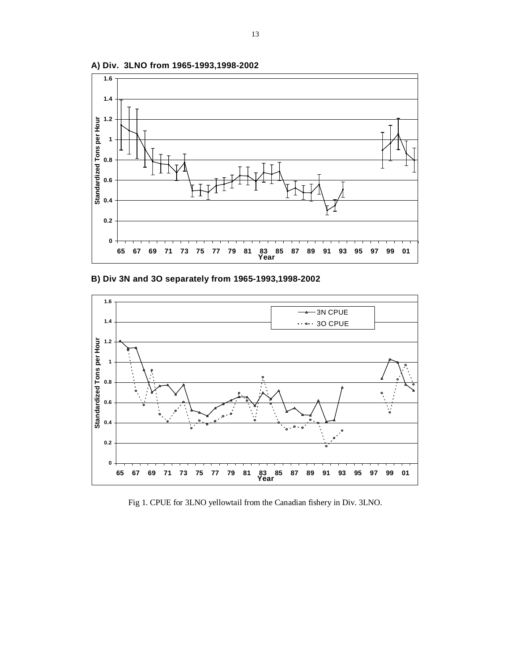

**A) Div. 3LNO from 1965-1993,1998-2002**





Fig 1. CPUE for 3LNO yellowtail from the Canadian fishery in Div. 3LNO.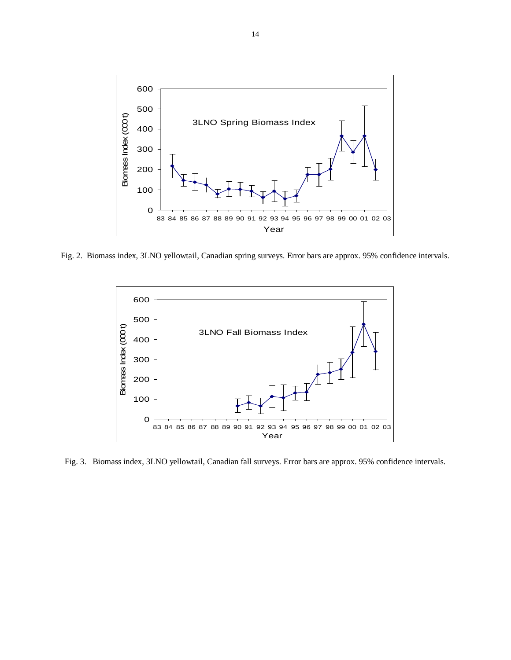

Fig. 2. Biomass index, 3LNO yellowtail, Canadian spring surveys. Error bars are approx. 95% confidence intervals.



Fig. 3. Biomass index, 3LNO yellowtail, Canadian fall surveys. Error bars are approx. 95% confidence intervals.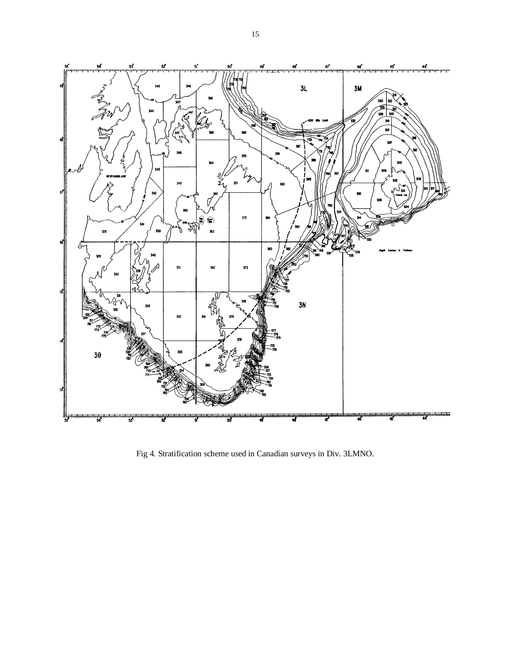

Fig 4. Stratification scheme used in Canadian surveys in Div. 3LMNO.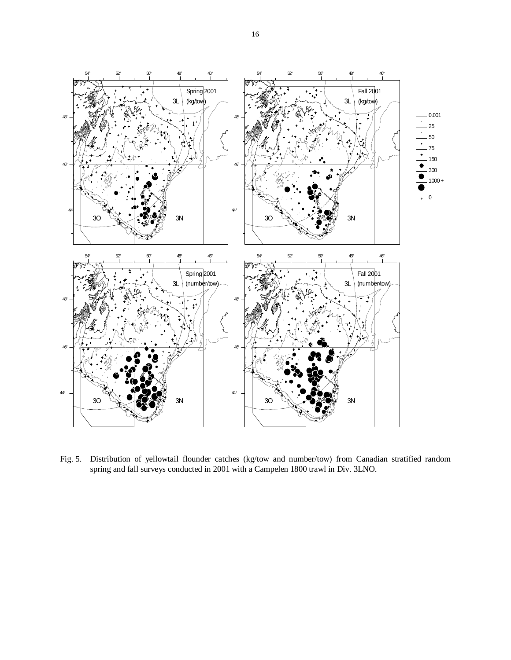

 Fig. 5. Distribution of yellowtail flounder catches (kg/tow and number/tow) from Canadian stratified random spring and fall surveys conducted in 2001 with a Campelen 1800 trawl in Div. 3LNO.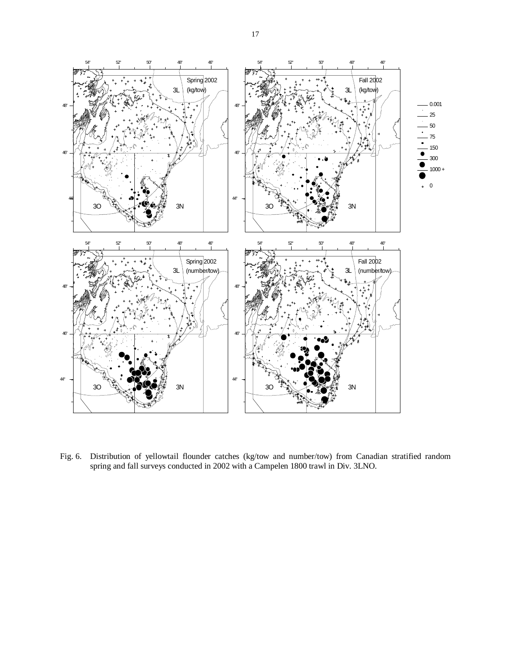

Fig. 6. Distribution of yellowtail flounder catches (kg/tow and number/tow) from Canadian stratified random spring and fall surveys conducted in 2002 with a Campelen 1800 trawl in Div. 3LNO.